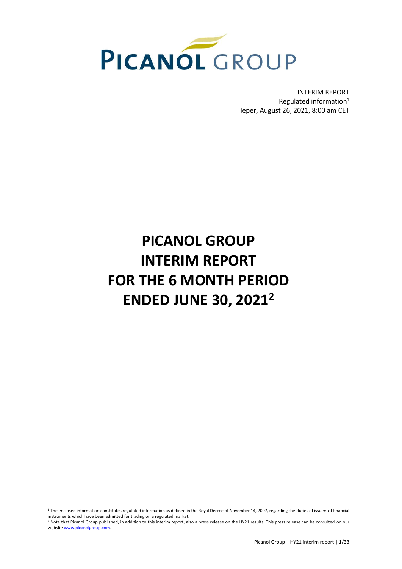

INTERIM REPORT Regulated information $1$ Ieper, August 26, 2021, 8:00 am CET

# **PICANOL GROUP INTERIM REPORT FOR THE 6 MONTH PERIOD ENDED JUNE 30, 2021 2**

<sup>&</sup>lt;sup>1</sup> The enclosed information constitutes regulated information as defined in the Royal Decree of November 14, 2007, regarding the duties of issuers of financial instruments which have been admitted for trading on a regulated market.

<sup>&</sup>lt;sup>2</sup> Note that Picanol Group published, in addition to this interim report, also a press release on the HY21 results. This press release can be consulted on our websit[e www.picanolgroup.com.](http://www.picanolgroup.com/)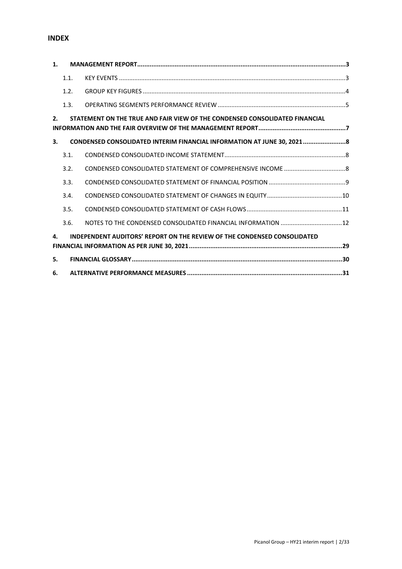# **INDEX**

| 1. |      |                                                                                 |  |
|----|------|---------------------------------------------------------------------------------|--|
|    | 1.1. |                                                                                 |  |
|    | 1.2. |                                                                                 |  |
|    | 1.3. |                                                                                 |  |
| 2. |      | STATEMENT ON THE TRUE AND FAIR VIEW OF THE CONDENSED CONSOLIDATED FINANCIAL     |  |
| 3. |      | CONDENSED CONSOLIDATED INTERIM FINANCIAL INFORMATION AT JUNE 30, 20218          |  |
|    | 3.1. |                                                                                 |  |
|    | 3.2. |                                                                                 |  |
|    | 3.3. |                                                                                 |  |
|    | 3.4. |                                                                                 |  |
|    | 3.5. |                                                                                 |  |
|    | 3.6. |                                                                                 |  |
| 4. |      | <b>INDEPENDENT AUDITORS' REPORT ON THE REVIEW OF THE CONDENSED CONSOLIDATED</b> |  |
| 5. |      |                                                                                 |  |
| 6. |      |                                                                                 |  |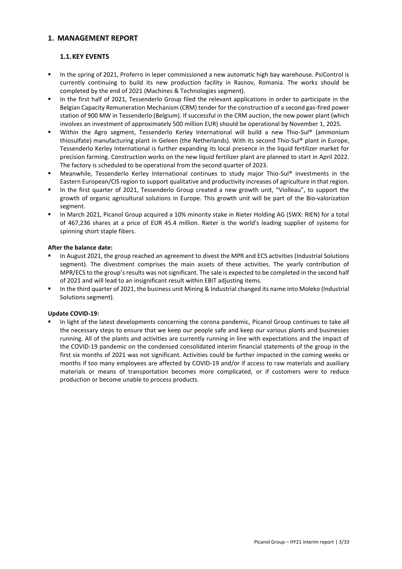# <span id="page-2-0"></span>**1. MANAGEMENT REPORT**

# <span id="page-2-1"></span>**1.1.KEY EVENTS**

- In the spring of 2021, Proferro in Ieper commissioned a new automatic high bay warehouse. PsiControl is currently continuing to build its new production facility in Rasnov, Romania. The works should be completed by the end of 2021 (Machines & Technologies segment).
- In the first half of 2021, Tessenderlo Group filed the relevant applications in order to participate in the Belgian Capacity Remuneration Mechanism (CRM) tender for the construction of a second gas-fired power station of 900 MW in Tessenderlo (Belgium). If successful in the CRM auction, the new power plant (which involves an investment of approximately 500 million EUR) should be operational by November 1, 2025.
- Within the Agro segment, Tessenderlo Kerley International will build a new Thio-Sul® (ammonium thiosulfate) manufacturing plant in Geleen (the Netherlands). With its second Thio-Sul® plant in Europe, Tessenderlo Kerley International is further expanding its local presence in the liquid fertilizer market for precision farming. Construction works on the new liquid fertilizer plant are planned to start in April 2022. The factory is scheduled to be operational from the second quarter of 2023.
- Meanwhile, Tessenderlo Kerley International continues to study major Thio-Sul® investments in the Eastern European/CIS region to support qualitative and productivity increases of agriculture in that region.
- In the first quarter of 2021, Tessenderlo Group created a new growth unit, "Violleau", to support the growth of organic agricultural solutions in Europe. This growth unit will be part of the Bio-valorization segment.
- In March 2021, Picanol Group acquired a 10% minority stake in Rieter Holding AG (SWX: RIEN) for a total of 467,236 shares at a price of EUR 45.4 million. Rieter is the world's leading supplier of systems for spinning short staple fibers.

#### **After the balance date:**

- In August 2021, the group reached an agreement to divest the MPR and ECS activities (Industrial Solutions segment). The divestment comprises the main assets of these activities. The yearly contribution of MPR/ECS to the group's results was not significant. The sale is expected to be completed in the second half of 2021 and will lead to an insignificant result within EBIT adjusting items.
- In the third quarter of 2021, the business unit Mining & Industrial changed its name into Moleko (Industrial Solutions segment).

#### **Update COVID-19:**

In light of the latest developments concerning the corona pandemic, Picanol Group continues to take all the necessary steps to ensure that we keep our people safe and keep our various plants and businesses running. All of the plants and activities are currently running in line with expectations and the impact of the COVID-19 pandemic on the condensed consolidated interim financial statements of the group in the first six months of 2021 was not significant. Activities could be further impacted in the coming weeks or months if too many employees are affected by COVID-19 and/or if access to raw materials and auxiliary materials or means of transportation becomes more complicated, or if customers were to reduce production or become unable to process products.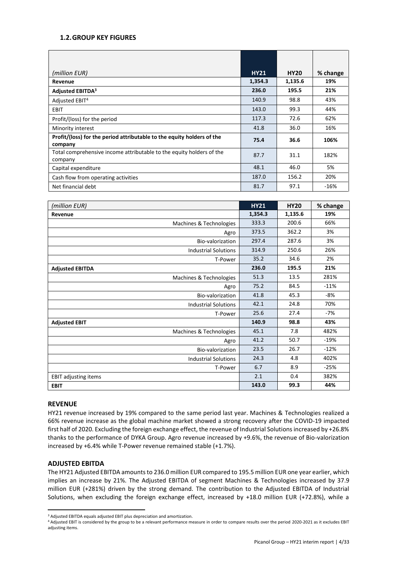# **1.2.GROUP KEY FIGURES**

| (million EUR)                                                                     | <b>HY21</b> | <b>HY20</b> | % change |
|-----------------------------------------------------------------------------------|-------------|-------------|----------|
| Revenue                                                                           | 1,354.3     | 1,135.6     | 19%      |
| <b>Adjusted EBITDA3</b>                                                           | 236.0       | 195.5       | 21%      |
| Adjusted EBIT <sup>4</sup>                                                        | 140.9       | 98.8        | 43%      |
| <b>EBIT</b>                                                                       | 143.0       | 99.3        | 44%      |
| Profit/(loss) for the period                                                      | 117.3       | 72.6        | 62%      |
| Minority interest                                                                 | 41.8        | 36.0        | 16%      |
| Profit/(loss) for the period attributable to the equity holders of the<br>company | 75.4        | 36.6        | 106%     |
| Total comprehensive income attributable to the equity holders of the<br>company   | 87.7        | 31.1        | 182%     |
| Capital expenditure                                                               | 48.1        | 46.0        | 5%       |
| Cash flow from operating activities                                               | 187.0       | 156.2       | 20%      |
| Net financial debt                                                                | 81.7        | 97.1        | $-16%$   |

| (million EUR)               | <b>HY21</b> | <b>HY20</b> | % change |
|-----------------------------|-------------|-------------|----------|
| Revenue                     | 1,354.3     | 1,135.6     | 19%      |
| Machines & Technologies     | 333.3       | 200.6       | 66%      |
| Agro                        | 373.5       | 362.2       | 3%       |
| Bio-valorization            | 297.4       | 287.6       | 3%       |
| <b>Industrial Solutions</b> | 314.9       | 250.6       | 26%      |
| T-Power                     | 35.2        | 34.6        | 2%       |
| <b>Adjusted EBITDA</b>      | 236.0       | 195.5       | 21%      |
| Machines & Technologies     | 51.3        | 13.5        | 281%     |
| Agro                        | 75.2        | 84.5        | $-11%$   |
| Bio-valorization            | 41.8        | 45.3        | -8%      |
| <b>Industrial Solutions</b> | 42.1        | 24.8        | 70%      |
| T-Power                     | 25.6        | 27.4        | $-7%$    |
| <b>Adjusted EBIT</b>        | 140.9       | 98.8        | 43%      |
| Machines & Technologies     | 45.1        | 7.8         | 482%     |
| Agro                        | 41.2        | 50.7        | $-19%$   |
| Bio-valorization            | 23.5        | 26.7        | $-12%$   |
| <b>Industrial Solutions</b> | 24.3        | 4.8         | 402%     |
| T-Power                     | 6.7         | 8.9         | $-25%$   |
| <b>EBIT adjusting items</b> | 2.1         | 0.4         | 382%     |
| <b>EBIT</b>                 | 143.0       | 99.3        | 44%      |

#### **REVENUE**

HY21 revenue increased by 19% compared to the same period last year. Machines & Technologies realized a 66% revenue increase as the global machine market showed a strong recovery after the COVID-19 impacted first half of 2020. Excluding the foreign exchange effect, the revenue of Industrial Solutions increased by +26.8% thanks to the performance of DYKA Group. Agro revenue increased by +9.6%, the revenue of Bio-valorization increased by +6.4% while T-Power revenue remained stable (+1.7%).

#### **ADJUSTED EBITDA**

The HY21 Adjusted EBITDA amounts to 236.0 million EUR compared to 195.5 million EUR one year earlier, which implies an increase by 21%. The Adjusted EBITDA of segment Machines & Technologies increased by 37.9 million EUR (+281%) driven by the strong demand. The contribution to the Adjusted EBITDA of Industrial Solutions, when excluding the foreign exchange effect, increased by +18.0 million EUR (+72.8%), while a

<sup>3</sup> Adjusted EBITDA equals adjusted EBIT plus depreciation and amortization.

<sup>4</sup> Adjusted EBIT is considered by the group to be a relevant performance measure in order to compare results over the period 2020-2021 as it excludes EBIT adjusting items.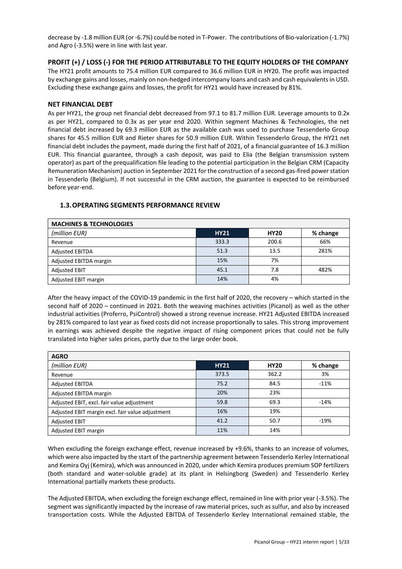decrease by -1.8 million EUR (or -6.7%) could be noted in T-Power. The contributions of Bio-valorization (-1.7%) and Agro (-3.5%) were in line with last year.

# **PROFIT (+) / LOSS (-) FOR THE PERIOD ATTRIBUTABLE TO THE EQUITY HOLDERS OF THE COMPANY**

The HY21 profit amounts to 75.4 million EUR compared to 36.6 million EUR in HY20. The profit was impacted by exchange gains and losses, mainly on non-hedged intercompany loans and cash and cash equivalents in USD. Excluding these exchange gains and losses, the profit for HY21 would have increased by 81%.

#### **NET FINANCIAL DEBT**

As per HY21, the group net financial debt decreased from 97.1 to 81.7 million EUR. Leverage amounts to 0.2x as per HY21, compared to 0.3x as per year end 2020. Within segment Machines & Technologies, the net financial debt increased by 69.3 million EUR as the available cash was used to purchase Tessenderlo Group shares for 45.5 million EUR and Rieter shares for 50.9 million EUR. Within Tessenderlo Group, the HY21 net financial debt includes the payment, made during the first half of 2021, of a financial guarantee of 16.3 million EUR. This financial guarantee, through a cash deposit, was paid to Elia (the Belgian transmission system operator) as part of the prequalification file leading to the potential participation in the Belgian CRM (Capacity Remuneration Mechanism) auction in September 2021 for the construction of a second gas-fired power station in Tessenderlo (Belgium). If not successful in the CRM auction, the guarantee is expected to be reimbursed before year-end.

# <span id="page-4-0"></span>**1.3.OPERATING SEGMENTS PERFORMANCE REVIEW**

| <b>MACHINES &amp; TECHNOLOGIES</b> |             |             |          |  |  |  |  |  |
|------------------------------------|-------------|-------------|----------|--|--|--|--|--|
| (million EUR)                      | <b>HY21</b> | <b>HY20</b> | % change |  |  |  |  |  |
| Revenue                            | 333.3       | 200.6       | 66%      |  |  |  |  |  |
| <b>Adjusted EBITDA</b>             | 51.3        | 13.5        | 281%     |  |  |  |  |  |
| Adjusted EBITDA margin             | 15%         | 7%          |          |  |  |  |  |  |
| <b>Adjusted EBIT</b>               | 45.1        | 7.8         | 482%     |  |  |  |  |  |
| Adjusted EBIT margin               | 14%         | 4%          |          |  |  |  |  |  |

After the heavy impact of the COVID-19 pandemic in the first half of 2020, the recovery – which started in the second half of 2020 – continued in 2021. Both the weaving machines activities (Picanol) as well as the other industrial activities (Proferro, PsiControl) showed a strong revenue increase. HY21 Adjusted EBITDA increased by 281% compared to last year as fixed costs did not increase proportionally to sales. This strong improvement in earnings was achieved despite the negative impact of rising component prices that could not be fully translated into higher sales prices, partly due to the large order book.

| <b>AGRO</b>                                      |             |             |          |
|--------------------------------------------------|-------------|-------------|----------|
| (million EUR)                                    | <b>HY21</b> | <b>HY20</b> | % change |
| Revenue                                          | 373.5       | 362.2       | 3%       |
| <b>Adjusted EBITDA</b>                           | 75.2        | 84.5        | $-11%$   |
| Adjusted EBITDA margin                           | 20%         | 23%         |          |
| Adjusted EBIT, excl. fair value adjustment       | 59.8        | 69.3        | $-14%$   |
| Adjusted EBIT margin excl. fair value adjustment | 16%         | 19%         |          |
| <b>Adjusted EBIT</b>                             | 41.2        | 50.7        | $-19%$   |
| Adjusted EBIT margin                             | 11%         | 14%         |          |

When excluding the foreign exchange effect, revenue increased by +9.6%, thanks to an increase of volumes, which were also impacted by the start of the partnership agreement between Tessenderlo Kerley International and Kemira Oyj (Kemira), which was announced in 2020, under which Kemira produces premium SOP fertilizers (both standard and water-soluble grade) at its plant in Helsingborg (Sweden) and Tessenderlo Kerley International partially markets these products.

The Adjusted EBITDA, when excluding the foreign exchange effect, remained in line with prior year (-3.5%). The segment was significantly impacted by the increase of raw material prices, such as sulfur, and also by increased transportation costs. While the Adjusted EBITDA of Tessenderlo Kerley International remained stable, the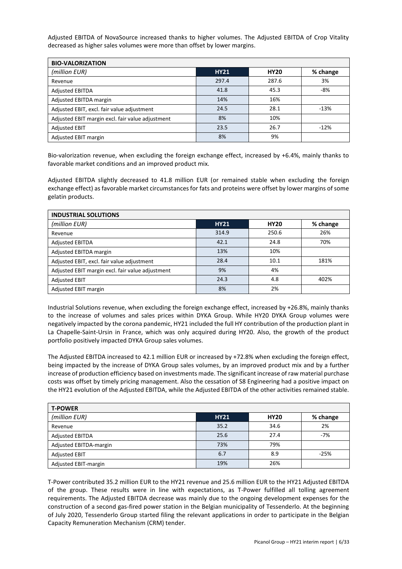Adjusted EBITDA of NovaSource increased thanks to higher volumes. The Adjusted EBITDA of Crop Vitality decreased as higher sales volumes were more than offset by lower margins.

| <b>BIO-VALORIZATION</b>                          |             |             |          |  |  |  |  |
|--------------------------------------------------|-------------|-------------|----------|--|--|--|--|
| (million EUR)                                    | <b>HY21</b> | <b>HY20</b> | % change |  |  |  |  |
| Revenue                                          | 297.4       | 287.6       | 3%       |  |  |  |  |
| <b>Adjusted EBITDA</b>                           | 41.8        | 45.3        | -8%      |  |  |  |  |
| Adjusted EBITDA margin                           | 14%         | 16%         |          |  |  |  |  |
| Adjusted EBIT, excl. fair value adjustment       | 24.5        | 28.1        | $-13%$   |  |  |  |  |
| Adjusted EBIT margin excl. fair value adjustment | 8%          | 10%         |          |  |  |  |  |
| <b>Adjusted EBIT</b>                             | 23.5        | 26.7        | $-12%$   |  |  |  |  |
| Adjusted EBIT margin                             | 8%          | 9%          |          |  |  |  |  |

Bio-valorization revenue, when excluding the foreign exchange effect, increased by +6.4%, mainly thanks to favorable market conditions and an improved product mix.

Adjusted EBITDA slightly decreased to 41.8 million EUR (or remained stable when excluding the foreign exchange effect) as favorable market circumstances for fats and proteins were offset by lower margins of some gelatin products.

| <b>INDUSTRIAL SOLUTIONS</b>                      |             |             |          |  |  |  |  |
|--------------------------------------------------|-------------|-------------|----------|--|--|--|--|
| (million EUR)                                    | <b>HY21</b> | <b>HY20</b> | % change |  |  |  |  |
| Revenue                                          | 314.9       | 250.6       | 26%      |  |  |  |  |
| <b>Adjusted EBITDA</b>                           | 42.1        | 24.8        | 70%      |  |  |  |  |
| Adjusted EBITDA margin                           | 13%         | 10%         |          |  |  |  |  |
| Adjusted EBIT, excl. fair value adjustment       | 28.4        | 10.1        | 181%     |  |  |  |  |
| Adjusted EBIT margin excl. fair value adjustment | 9%          | 4%          |          |  |  |  |  |
| <b>Adjusted EBIT</b>                             | 24.3        | 4.8         | 402%     |  |  |  |  |
| Adjusted EBIT margin                             | 8%          | 2%          |          |  |  |  |  |

Industrial Solutions revenue, when excluding the foreign exchange effect, increased by +26.8%, mainly thanks to the increase of volumes and sales prices within DYKA Group. While HY20 DYKA Group volumes were negatively impacted by the corona pandemic, HY21 included the full HY contribution of the production plant in La Chapelle-Saint-Ursin in France, which was only acquired during HY20. Also, the growth of the product portfolio positively impacted DYKA Group sales volumes.

The Adjusted EBITDA increased to 42.1 million EUR or increased by +72.8% when excluding the foreign effect, being impacted by the increase of DYKA Group sales volumes, by an improved product mix and by a further increase of production efficiency based on investments made. The significant increase of raw material purchase costs was offset by timely pricing management. Also the cessation of S8 Engineering had a positive impact on the HY21 evolution of the Adjusted EBITDA, while the Adjusted EBITDA of the other activities remained stable.

| <b>T-POWER</b>         |             |             |          |  |  |  |  |
|------------------------|-------------|-------------|----------|--|--|--|--|
| (million EUR)          | <b>HY21</b> | <b>HY20</b> | % change |  |  |  |  |
| Revenue                | 35.2        | 34.6        | 2%       |  |  |  |  |
| <b>Adjusted EBITDA</b> | 25.6        | 27.4        | $-7%$    |  |  |  |  |
| Adjusted EBITDA-margin | 73%         | 79%         |          |  |  |  |  |
| <b>Adjusted EBIT</b>   | 6.7         | 8.9         | $-25%$   |  |  |  |  |
| Adjusted EBIT-margin   | 19%         | 26%         |          |  |  |  |  |

T-Power contributed 35.2 million EUR to the HY21 revenue and 25.6 million EUR to the HY21 Adjusted EBITDA of the group. These results were in line with expectations, as T-Power fulfilled all tolling agreement requirements. The Adjusted EBITDA decrease was mainly due to the ongoing development expenses for the construction of a second gas-fired power station in the Belgian municipality of Tessenderlo. At the beginning of July 2020, Tessenderlo Group started filing the relevant applications in order to participate in the Belgian Capacity Remuneration Mechanism (CRM) tender.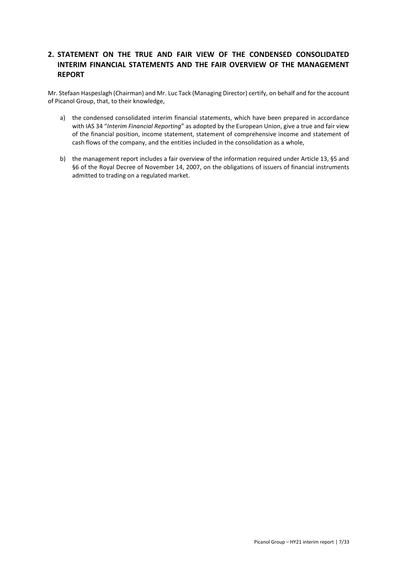# <span id="page-6-0"></span>**2. STATEMENT ON THE TRUE AND FAIR VIEW OF THE CONDENSED CONSOLIDATED INTERIM FINANCIAL STATEMENTS AND THE FAIR OVERVIEW OF THE MANAGEMENT REPORT**

Mr. Stefaan Haspeslagh (Chairman) and Mr. Luc Tack (Managing Director) certify, on behalf and for the account of Picanol Group, that, to their knowledge,

- a) the condensed consolidated interim financial statements, which have been prepared in accordance with IAS 34 "*Interim Financial Reporting*" as adopted by the European Union, give a true and fair view of the financial position, income statement, statement of comprehensive income and statement of cash flows of the company, and the entities included in the consolidation as a whole,
- b) the management report includes a fair overview of the information required under Article 13, §5 and §6 of the Royal Decree of November 14, 2007, on the obligations of issuers of financial instruments admitted to trading on a regulated market.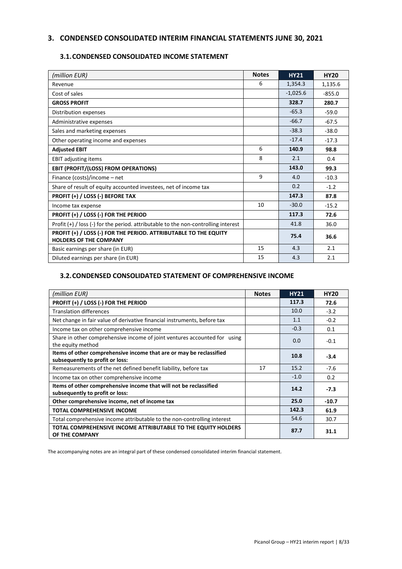# <span id="page-7-0"></span>**3. CONDENSED CONSOLIDATED INTERIM FINANCIAL STATEMENTS JUNE 30, 2021**

# <span id="page-7-1"></span>**3.1.CONDENSED CONSOLIDATED INCOME STATEMENT**

| (million EUR)                                                                                     | <b>Notes</b> | <b>HY21</b> | <b>HY20</b> |
|---------------------------------------------------------------------------------------------------|--------------|-------------|-------------|
| Revenue                                                                                           | 6            | 1,354.3     | 1,135.6     |
| Cost of sales                                                                                     |              | $-1,025.6$  | $-855.0$    |
| <b>GROSS PROFIT</b>                                                                               |              | 328.7       | 280.7       |
| Distribution expenses                                                                             |              | $-65.3$     | $-59.0$     |
| Administrative expenses                                                                           |              | $-66.7$     | $-67.5$     |
| Sales and marketing expenses                                                                      |              | $-38.3$     | $-38.0$     |
| Other operating income and expenses                                                               |              | $-17.4$     | $-17.3$     |
| <b>Adjusted EBIT</b>                                                                              | 6            | 140.9       | 98.8        |
| <b>EBIT adjusting items</b>                                                                       | 8            | 2.1         | 0.4         |
| EBIT (PROFIT/(LOSS) FROM OPERATIONS)                                                              |              | 143.0       | 99.3        |
| Finance (costs)/income - net                                                                      | 9            | 4.0         | $-10.3$     |
| Share of result of equity accounted investees, net of income tax                                  |              | 0.2         | $-1.2$      |
| PROFIT (+) / LOSS (-) BEFORE TAX                                                                  |              | 147.3       | 87.8        |
| Income tax expense                                                                                | 10           | $-30.0$     | $-15.2$     |
| PROFIT (+) / LOSS (-) FOR THE PERIOD                                                              |              | 117.3       | 72.6        |
| Profit $(+)$ / loss (-) for the period. attributable to the non-controlling interest              |              | 41.8        | 36.0        |
| PROFIT (+) / LOSS (-) FOR THE PERIOD. ATTRIBUTABLE TO THE EQUITY<br><b>HOLDERS OF THE COMPANY</b> |              | 75.4        | 36.6        |
| Basic earnings per share (in EUR)                                                                 | 15           | 4.3         | 2.1         |
| Diluted earnings per share (in EUR)                                                               | 15           | 4.3         | 2.1         |

# <span id="page-7-2"></span>**3.2.CONDENSED CONSOLIDATED STATEMENT OF COMPREHENSIVE INCOME**

| (million EUR)                                                                                          | <b>Notes</b> | <b>HY21</b> | <b>HY20</b> |
|--------------------------------------------------------------------------------------------------------|--------------|-------------|-------------|
| PROFIT (+) / LOSS (-) FOR THE PERIOD                                                                   |              | 117.3       | 72.6        |
| <b>Translation differences</b>                                                                         |              | 10.0        | $-3.2$      |
| Net change in fair value of derivative financial instruments, before tax                               |              | 1.1         | $-0.2$      |
| Income tax on other comprehensive income                                                               |              | $-0.3$      | 0.1         |
| Share in other comprehensive income of joint ventures accounted for using<br>the equity method         |              | 0.0         | $-0.1$      |
| Items of other comprehensive income that are or may be reclassified<br>subsequently to profit or loss: |              | 10.8        | $-3.4$      |
| Remeasurements of the net defined benefit liability, before tax                                        | 17           | 15.2        | $-7.6$      |
| Income tax on other comprehensive income                                                               |              | $-1.0$      | 0.2         |
| Items of other comprehensive income that will not be reclassified<br>subsequently to profit or loss:   |              | 14.2        | $-7.3$      |
| Other comprehensive income, net of income tax                                                          |              | 25.0        | $-10.7$     |
| <b>TOTAL COMPREHENSIVE INCOME</b>                                                                      |              | 142.3       | 61.9        |
| Total comprehensive income attributable to the non-controlling interest                                |              | 54.6        | 30.7        |
| TOTAL COMPREHENSIVE INCOME ATTRIBUTABLE TO THE EQUITY HOLDERS<br>OF THE COMPANY                        |              | 87.7        | 31.1        |

The accompanying notes are an integral part of these condensed consolidated interim financial statement.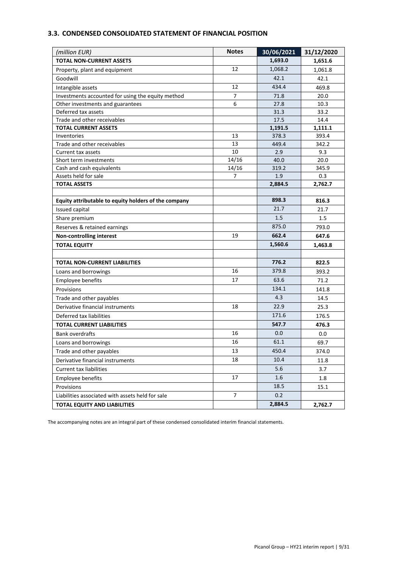# <span id="page-8-0"></span>**3.3. CONDENSED CONSOLIDATED STATEMENT OF FINANCIAL POSITION**

| (million EUR)                                        | <b>Notes</b>   | 30/06/2021 | 31/12/2020 |
|------------------------------------------------------|----------------|------------|------------|
| <b>TOTAL NON-CURRENT ASSETS</b>                      |                | 1,693.0    | 1,651.6    |
| Property, plant and equipment                        | 12             | 1,068.2    | 1,061.8    |
| Goodwill                                             |                | 42.1       | 42.1       |
| Intangible assets                                    | 12             | 434.4      | 469.8      |
| Investments accounted for using the equity method    | $\overline{7}$ | 71.8       | 20.0       |
| Other investments and guarantees                     | 6              | 27.8       | 10.3       |
| Deferred tax assets                                  |                | 31.3       | 33.2       |
| Trade and other receivables                          |                | 17.5       | 14.4       |
| <b>TOTAL CURRENT ASSETS</b>                          |                | 1,191.5    | 1,111.1    |
| Inventories                                          | 13             | 378.3      | 393.4      |
| Trade and other receivables                          | 13             | 449.4      | 342.2      |
| Current tax assets                                   | 10             | 2.9        | 9.3        |
| Short term investments                               | 14/16          | 40.0       | 20.0       |
| Cash and cash equivalents                            | 14/16          | 319.2      | 345.9      |
| Assets held for sale                                 | 7              | 1.9        | 0.3        |
| <b>TOTAL ASSETS</b>                                  |                | 2,884.5    | 2,762.7    |
| Equity attributable to equity holders of the company |                | 898.3      | 816.3      |
| Issued capital                                       |                | 21.7       | 21.7       |
| Share premium                                        |                | 1.5        | 1.5        |
| Reserves & retained earnings                         |                | 875.0      | 793.0      |
| Non-controlling interest                             | 19             | 662.4      | 647.6      |
| <b>TOTAL EQUITY</b>                                  |                | 1,560.6    | 1,463.8    |
|                                                      |                |            |            |
| <b>TOTAL NON-CURRENT LIABILITIES</b>                 |                | 776.2      | 822.5      |
| Loans and borrowings                                 | 16             | 379.8      | 393.2      |
| Employee benefits                                    | 17             | 63.6       | 71.2       |
| Provisions                                           |                | 134.1      | 141.8      |
| Trade and other payables                             |                | 4.3        | 14.5       |
| Derivative financial instruments                     | 18             | 22.9       | 25.3       |
| Deferred tax liabilities                             |                | 171.6      | 176.5      |
| <b>TOTAL CURRENT LIABILITIES</b>                     |                | 547.7      | 476.3      |
| <b>Bank overdrafts</b>                               | 16             | 0.0        | 0.0        |
| Loans and borrowings                                 | 16             | 61.1       | 69.7       |
| Trade and other payables                             | 13             | 450.4      | 374.0      |
| Derivative financial instruments                     | 18             | 10.4       | 11.8       |
| <b>Current tax liabilities</b>                       |                | 5.6        | 3.7        |
| <b>Employee benefits</b>                             | 17             | 1.6        | 1.8        |
| Provisions                                           |                | 18.5       | 15.1       |
| Liabilities associated with assets held for sale     | $\overline{7}$ | 0.2        |            |
| <b>TOTAL EQUITY AND LIABILITIES</b>                  |                | 2,884.5    | 2,762.7    |

The accompanying notes are an integral part of these condensed consolidated interim financial statements.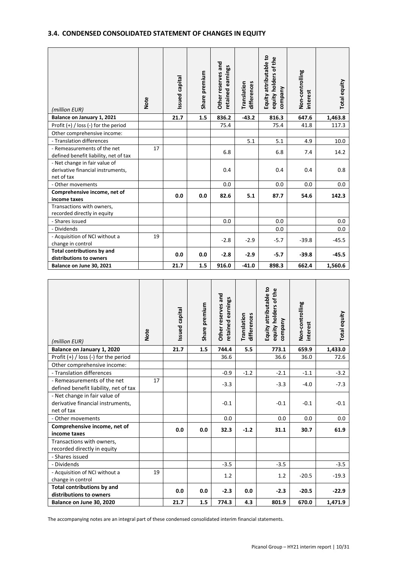# <span id="page-9-0"></span>**3.4. CONDENSED CONSOLIDATED STATEMENT OF CHANGES IN EQUITY**

| (million EUR)                                                                    | Note | Issued capital | Share premium | and<br>retained earnings<br>reserves<br>Other <sub>1</sub> | Translation<br>differences | Equity attributable to<br>equity holders of the<br>company | Non-controlling<br>interest | Total equity |
|----------------------------------------------------------------------------------|------|----------------|---------------|------------------------------------------------------------|----------------------------|------------------------------------------------------------|-----------------------------|--------------|
| Balance on January 1, 2021                                                       |      | 21.7           | 1.5           | 836.2                                                      | $-43.2$                    | 816.3                                                      | 647.6                       | 1,463.8      |
| Profit (+) / loss (-) for the period                                             |      |                |               | 75.4                                                       |                            | 75.4                                                       | 41.8                        | 117.3        |
| Other comprehensive income:                                                      |      |                |               |                                                            |                            |                                                            |                             |              |
| - Translation differences                                                        |      |                |               |                                                            | 5.1                        | 5.1                                                        | 4.9                         | 10.0         |
| - Remeasurements of the net<br>defined benefit liability, net of tax             | 17   |                |               | 6.8                                                        |                            | 6.8                                                        | 7.4                         | 14.2         |
| - Net change in fair value of<br>derivative financial instruments,<br>net of tax |      |                |               | 0.4                                                        |                            | 0.4                                                        | 0.4                         | 0.8          |
| - Other movements                                                                |      |                |               | 0.0                                                        |                            | 0.0                                                        | 0.0                         | 0.0          |
| Comprehensive income, net of<br>income taxes                                     |      | 0.0            | 0.0           | 82.6                                                       | 5.1                        | 87.7                                                       | 54.6                        | 142.3        |
| Transactions with owners,<br>recorded directly in equity                         |      |                |               |                                                            |                            |                                                            |                             |              |
| - Shares issued                                                                  |      |                |               | 0.0                                                        |                            | 0.0                                                        |                             | 0.0          |
| - Dividends                                                                      |      |                |               |                                                            |                            | 0.0                                                        |                             | 0.0          |
| - Acquisition of NCI without a<br>change in control                              | 19   |                |               | $-2.8$                                                     | $-2.9$                     | $-5.7$                                                     | $-39.8$                     | $-45.5$      |
| <b>Total contributions by and</b><br>distributions to owners                     |      | 0.0            | 0.0           | $-2.8$                                                     | $-2.9$                     | $-5.7$                                                     | $-39.8$                     | -45.5        |
| Balance on June 30, 2021                                                         |      | 21.7           | 1.5           | 916.0                                                      | $-41.0$                    | 898.3                                                      | 662.4                       | 1,560.6      |

| (million EUR)                                                        | <b>Note</b> | Issued capital | Share premium | Other reserves and<br>retained earnings | Translation<br>differences | Equity attributable to<br>equity holders of the<br>company | Non-controlling<br>interest | Total equity |
|----------------------------------------------------------------------|-------------|----------------|---------------|-----------------------------------------|----------------------------|------------------------------------------------------------|-----------------------------|--------------|
| Balance on January 1, 2020                                           |             | 21.7           | 1.5           | 744.4                                   | 5.5                        | 773.1                                                      | 659.9                       | 1,433.0      |
| Profit $(+)$ / loss (-) for the period                               |             |                |               | 36.6                                    |                            | 36.6                                                       | 36.0                        | 72.6         |
| Other comprehensive income:                                          |             |                |               |                                         |                            |                                                            |                             |              |
| - Translation differences                                            |             |                |               | $-0.9$                                  | $-1.2$                     | $-2.1$                                                     | $-1.1$                      | $-3.2$       |
| - Remeasurements of the net<br>defined benefit liability, net of tax | 17          |                |               | $-3.3$                                  |                            | $-3.3$                                                     | $-4.0$                      | $-7.3$       |
| - Net change in fair value of                                        |             |                |               |                                         |                            |                                                            |                             |              |
| derivative financial instruments,<br>net of tax                      |             |                |               | $-0.1$                                  |                            | $-0.1$                                                     | $-0.1$                      | $-0.1$       |
| - Other movements                                                    |             |                |               | 0.0                                     |                            | 0.0                                                        | 0.0                         | 0.0          |
| Comprehensive income, net of<br>income taxes                         |             | 0.0            | 0.0           | 32.3                                    | $-1.2$                     | 31.1                                                       | 30.7                        | 61.9         |
| Transactions with owners,<br>recorded directly in equity             |             |                |               |                                         |                            |                                                            |                             |              |
| - Shares issued                                                      |             |                |               |                                         |                            |                                                            |                             |              |
| - Dividends                                                          |             |                |               | $-3.5$                                  |                            | $-3.5$                                                     |                             | $-3.5$       |
| - Acquisition of NCI without a<br>change in control                  | 19          |                |               | 1.2                                     |                            | 1.2                                                        | $-20.5$                     | $-19.3$      |
| <b>Total contributions by and</b><br>distributions to owners         |             | 0.0            | 0.0           | $-2.3$                                  | 0.0                        | $-2.3$                                                     | $-20.5$                     | $-22.9$      |
| Balance on June 30, 2020                                             |             | 21.7           | 1.5           | 774.3                                   | 4.3                        | 801.9                                                      | 670.0                       | 1,471.9      |

The accompanying notes are an integral part of these condensed consolidated interim financial statements.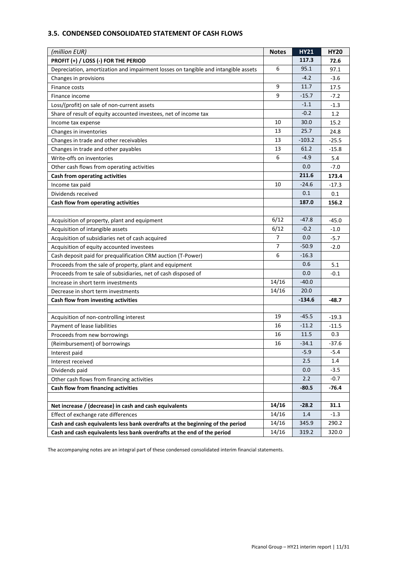# <span id="page-10-0"></span>**3.5. CONDENSED CONSOLIDATED STATEMENT OF CASH FLOWS**

| (million EUR)                                                                      | <b>Notes</b>   | <b>HY21</b> | <b>HY20</b> |
|------------------------------------------------------------------------------------|----------------|-------------|-------------|
| PROFIT (+) / LOSS (-) FOR THE PERIOD                                               |                | 117.3       | 72.6        |
| Depreciation, amortization and impairment losses on tangible and intangible assets | 6              | 95.1        | 97.1        |
| Changes in provisions                                                              |                | $-4.2$      | $-3.6$      |
| Finance costs                                                                      | 9              | 11.7        | 17.5        |
| Finance income                                                                     | 9              | $-15.7$     | $-7.2$      |
| Loss/(profit) on sale of non-current assets                                        |                | $-1.1$      | $-1.3$      |
| Share of result of equity accounted investees, net of income tax                   |                | $-0.2$      | 1.2         |
| Income tax expense                                                                 | 10             | 30.0        | 15.2        |
| Changes in inventories                                                             | 13             | 25.7        | 24.8        |
| Changes in trade and other receivables                                             | 13             | $-103.2$    | $-25.5$     |
| Changes in trade and other payables                                                | 13             | 61.2        | $-15.8$     |
| Write-offs on inventories                                                          | 6              | $-4.9$      | 5.4         |
| Other cash flows from operating activities                                         |                | 0.0         | $-7.0$      |
| Cash from operating activities                                                     |                | 211.6       | 173.4       |
| Income tax paid                                                                    | 10             | $-24.6$     | $-17.3$     |
| Dividends received                                                                 |                | 0.1         | 0.1         |
| Cash flow from operating activities                                                |                | 187.0       | 156.2       |
|                                                                                    |                |             |             |
| Acquisition of property, plant and equipment                                       | 6/12           | $-47.8$     | $-45.0$     |
| Acquisition of intangible assets                                                   | 6/12           | $-0.2$      | $-1.0$      |
| Acquisition of subsidiaries net of cash acquired                                   | 7              | 0.0         | $-5.7$      |
| Acquisition of equity accounted investees                                          | $\overline{7}$ | $-50.9$     | $-2.0$      |
| Cash deposit paid for prequalification CRM auction (T-Power)                       | 6              | $-16.3$     |             |
| Proceeds from the sale of property, plant and equipment                            |                | 0.6         | 5.1         |
| Proceeds from te sale of subsidiaries, net of cash disposed of                     |                | 0.0         | $-0.1$      |
| Increase in short term investments                                                 | 14/16          | $-40.0$     |             |
| Decrease in short term investments                                                 | 14/16          | 20.0        |             |
| Cash flow from investing activities                                                |                | $-134.6$    | $-48.7$     |
|                                                                                    |                |             |             |
| Acquisition of non-controlling interest                                            | 19             | $-45.5$     | $-19.3$     |
| Payment of lease liabilities                                                       | 16             | $-11.2$     | $-11.5$     |
| Proceeds from new borrowings                                                       | 16             | 11.5        | 0.3         |
| (Reimbursement) of borrowings                                                      | 16             | $-34.1$     | $-37.6$     |
| Interest paid                                                                      |                | $-5.9$      | -5.4        |
| Interest received                                                                  |                | 2.5         | 1.4         |
| Dividends paid                                                                     |                | 0.0         | $-3.5$      |
| Other cash flows from financing activities                                         |                | 2.2         | $-0.7$      |
| Cash flow from financing activities                                                |                | $-80.5$     | $-76.4$     |
|                                                                                    |                |             |             |
| Net increase / (decrease) in cash and cash equivalents                             | 14/16          | $-28.2$     | 31.1        |
| Effect of exchange rate differences                                                | 14/16          | 1.4         | $-1.3$      |
| Cash and cash equivalents less bank overdrafts at the beginning of the period      | 14/16          | 345.9       | 290.2       |
| Cash and cash equivalents less bank overdrafts at the end of the period            | 14/16          | 319.2       | 320.0       |

The accompanying notes are an integral part of these condensed consolidated interim financial statements.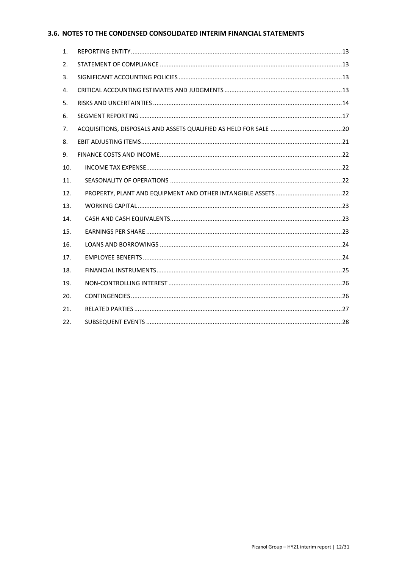# <span id="page-11-0"></span>3.6. NOTES TO THE CONDENSED CONSOLIDATED INTERIM FINANCIAL STATEMENTS

| 1.  |  |
|-----|--|
| 2.  |  |
| 3.  |  |
| 4.  |  |
| 5.  |  |
| 6.  |  |
| 7.  |  |
| 8.  |  |
| 9.  |  |
| 10. |  |
| 11. |  |
| 12. |  |
| 13. |  |
| 14. |  |
| 15. |  |
| 16. |  |
| 17. |  |
| 18. |  |
| 19. |  |
| 20. |  |
| 21. |  |
| 22. |  |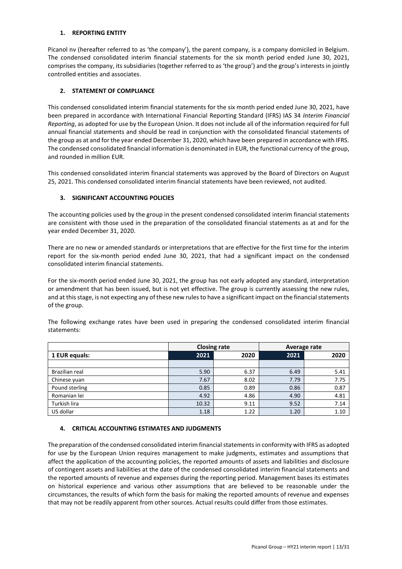#### <span id="page-12-0"></span>**1. REPORTING ENTITY**

Picanol nv (hereafter referred to as 'the company'), the parent company, is a company domiciled in Belgium. The condensed consolidated interim financial statements for the six month period ended June 30, 2021, comprises the company, its subsidiaries (together referred to as 'the group') and the group's interests in jointly controlled entities and associates.

# <span id="page-12-1"></span>**2. STATEMENT OF COMPLIANCE**

This condensed consolidated interim financial statements for the six month period ended June 30, 2021, have been prepared in accordance with International Financial Reporting Standard (IFRS) IAS 34 *Interim Financial Reporting*, as adopted for use by the European Union. It does not include all of the information required for full annual financial statements and should be read in conjunction with the consolidated financial statements of the group as at and for the year ended December 31, 2020, which have been prepared in accordance with IFRS. The condensed consolidated financial information is denominated in EUR, the functional currency of the group, and rounded in million EUR.

This condensed consolidated interim financial statements was approved by the Board of Directors on August 25, 2021. This condensed consolidated interim financial statements have been reviewed, not audited.

# <span id="page-12-2"></span>**3. SIGNIFICANT ACCOUNTING POLICIES**

The accounting policies used by the group in the present condensed consolidated interim financial statements are consistent with those used in the preparation of the consolidated financial statements as at and for the year ended December 31, 2020.

There are no new or amended standards or interpretations that are effective for the first time for the interim report for the six-month period ended June 30, 2021, that had a significant impact on the condensed consolidated interim financial statements.

For the six-month period ended June 30, 2021, the group has not early adopted any standard, interpretation or amendment that has been issued, but is not yet effective. The group is currently assessing the new rules, and at this stage, is not expecting any of these new rules to have a significant impact on the financial statements of the group.

The following exchange rates have been used in preparing the condensed consolidated interim financial statements:

|                |       | <b>Closing rate</b> | Average rate |      |
|----------------|-------|---------------------|--------------|------|
| 1 EUR equals:  | 2021  | 2020                | 2021         | 2020 |
|                |       |                     |              |      |
| Brazilian real | 5.90  | 6.37                | 6.49         | 5.41 |
| Chinese yuan   | 7.67  | 8.02                | 7.79         | 7.75 |
| Pound sterling | 0.85  | 0.89                | 0.86         | 0.87 |
| Romanian lei   | 4.92  | 4.86                | 4.90         | 4.81 |
| Turkish lira   | 10.32 | 9.11                | 9.52         | 7.14 |
| US dollar      | 1.18  | 1.22                | 1.20         | 1.10 |

#### <span id="page-12-3"></span>**4. CRITICAL ACCOUNTING ESTIMATES AND JUDGMENTS**

The preparation of the condensed consolidated interim financial statements in conformity with IFRS as adopted for use by the European Union requires management to make judgments, estimates and assumptions that affect the application of the accounting policies, the reported amounts of assets and liabilities and disclosure of contingent assets and liabilities at the date of the condensed consolidated interim financial statements and the reported amounts of revenue and expenses during the reporting period. Management bases its estimates on historical experience and various other assumptions that are believed to be reasonable under the circumstances, the results of which form the basis for making the reported amounts of revenue and expenses that may not be readily apparent from other sources. Actual results could differ from those estimates.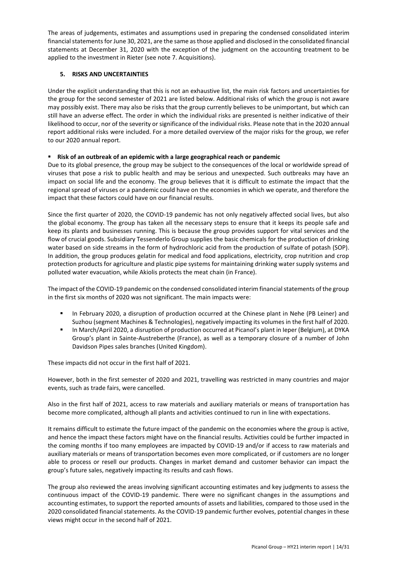The areas of judgements, estimates and assumptions used in preparing the condensed consolidated interim financial statementsfor June 30, 2021, are the same as those applied and disclosed in the consolidated financial statements at December 31, 2020 with the exception of the judgment on the accounting treatment to be applied to the investment in Rieter (see note 7. Acquisitions).

#### <span id="page-13-0"></span>**5. RISKS AND UNCERTAINTIES**

Under the explicit understanding that this is not an exhaustive list, the main risk factors and uncertainties for the group for the second semester of 2021 are listed below. Additional risks of which the group is not aware may possibly exist. There may also be risks that the group currently believes to be unimportant, but which can still have an adverse effect. The order in which the individual risks are presented is neither indicative of their likelihood to occur, nor of the severity or significance of the individual risks. Please note that in the 2020 annual report additional risks were included. For a more detailed overview of the major risks for the group, we refer to our 2020 annual report.

# ▪ **Risk of an outbreak of an epidemic with a large geographical reach or pandemic**

Due to its global presence, the group may be subject to the consequences of the local or worldwide spread of viruses that pose a risk to public health and may be serious and unexpected. Such outbreaks may have an impact on social life and the economy. The group believes that it is difficult to estimate the impact that the regional spread of viruses or a pandemic could have on the economies in which we operate, and therefore the impact that these factors could have on our financial results.

Since the first quarter of 2020, the COVID-19 pandemic has not only negatively affected social lives, but also the global economy. The group has taken all the necessary steps to ensure that it keeps its people safe and keep its plants and businesses running. This is because the group provides support for vital services and the flow of crucial goods. Subsidiary Tessenderlo Group supplies the basic chemicals for the production of drinking water based on side streams in the form of hydrochloric acid from the production of sulfate of potash (SOP). In addition, the group produces gelatin for medical and food applications, electricity, crop nutrition and crop protection products for agriculture and plastic pipe systems for maintaining drinking water supply systems and polluted water evacuation, while Akiolis protects the meat chain (in France).

The impact of the COVID-19 pandemic on the condensed consolidated interim financial statements of the group in the first six months of 2020 was not significant. The main impacts were:

- In February 2020, a disruption of production occurred at the Chinese plant in Nehe (PB Leiner) and Suzhou (segment Machines & Technologies), negatively impacting its volumes in the first half of 2020.
- In March/April 2020, a disruption of production occurred at Picanol's plant in Ieper (Belgium), at DYKA Group's plant in Sainte-Austreberthe (France), as well as a temporary closure of a number of John Davidson Pipes sales branches (United Kingdom).

These impacts did not occur in the first half of 2021.

However, both in the first semester of 2020 and 2021, travelling was restricted in many countries and major events, such as trade fairs, were cancelled.

Also in the first half of 2021, access to raw materials and auxiliary materials or means of transportation has become more complicated, although all plants and activities continued to run in line with expectations.

It remains difficult to estimate the future impact of the pandemic on the economies where the group is active, and hence the impact these factors might have on the financial results. Activities could be further impacted in the coming months if too many employees are impacted by COVID-19 and/or if access to raw materials and auxiliary materials or means of transportation becomes even more complicated, or if customers are no longer able to process or resell our products. Changes in market demand and customer behavior can impact the group's future sales, negatively impacting its results and cash flows.

The group also reviewed the areas involving significant accounting estimates and key judgments to assess the continuous impact of the COVID-19 pandemic. There were no significant changes in the assumptions and accounting estimates, to support the reported amounts of assets and liabilities, compared to those used in the 2020 consolidated financial statements. As the COVID-19 pandemic further evolves, potential changes in these views might occur in the second half of 2021.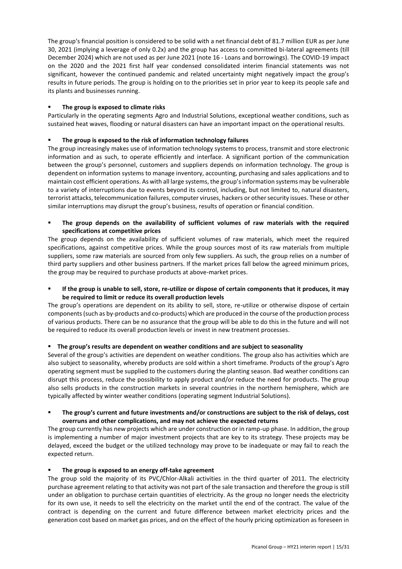The group's financial position is considered to be solid with a net financial debt of 81.7 million EUR as per June 30, 2021 (implying a leverage of only 0.2x) and the group has access to committed bi-lateral agreements (till December 2024) which are not used as per June 2021 (note 16 - Loans and borrowings). The COVID-19 impact on the 2020 and the 2021 first half year condensed consolidated interim financial statements was not significant, however the continued pandemic and related uncertainty might negatively impact the group's results in future periods. The group is holding on to the priorities set in prior year to keep its people safe and its plants and businesses running.

#### **The group is exposed to climate risks**

Particularly in the operating segments Agro and Industrial Solutions, exceptional weather conditions, such as sustained heat waves, flooding or natural disasters can have an important impact on the operational results.

## ▪ **The group is exposed to the risk of information technology failures**

The group increasingly makes use of information technology systems to process, transmit and store electronic information and as such, to operate efficiently and interface. A significant portion of the communication between the group's personnel, customers and suppliers depends on information technology. The group is dependent on information systems to manage inventory, accounting, purchasing and sales applications and to maintain cost efficient operations. As with all large systems, the group's information systems may be vulnerable to a variety of interruptions due to events beyond its control, including, but not limited to, natural disasters, terrorist attacks, telecommunication failures, computer viruses, hackers or other security issues. These or other similar interruptions may disrupt the group's business, results of operation or financial condition.

The group depends on the availability of sufficient volumes of raw materials with the required **specifications at competitive prices**

The group depends on the availability of sufficient volumes of raw materials, which meet the required specifications, against competitive prices. While the group sources most of its raw materials from multiple suppliers, some raw materials are sourced from only few suppliers. As such, the group relies on a number of third party suppliers and other business partners. If the market prices fall below the agreed minimum prices, the group may be required to purchase products at above-market prices.

If the group is unable to sell, store, re-utilize or dispose of certain components that it produces, it may **be required to limit or reduce its overall production levels**

The group's operations are dependent on its ability to sell, store, re-utilize or otherwise dispose of certain components (such as by-products and co-products) which are produced in the course of the production process of various products. There can be no assurance that the group will be able to do this in the future and will not be required to reduce its overall production levels or invest in new treatment processes.

#### ▪ **The group's results are dependent on weather conditions and are subject to seasonality**

Several of the group's activities are dependent on weather conditions. The group also has activities which are also subject to seasonality, whereby products are sold within a short timeframe. Products of the group's Agro operating segment must be supplied to the customers during the planting season. Bad weather conditions can disrupt this process, reduce the possibility to apply product and/or reduce the need for products. The group also sells products in the construction markets in several countries in the northern hemisphere, which are typically affected by winter weather conditions (operating segment Industrial Solutions).

#### The group's current and future investments and/or constructions are subject to the risk of delays, cost **overruns and other complications, and may not achieve the expected returns**

The group currently has new projects which are under construction or in ramp-up phase. In addition, the group is implementing a number of major investment projects that are key to its strategy. These projects may be delayed, exceed the budget or the utilized technology may prove to be inadequate or may fail to reach the expected return.

#### The group is exposed to an energy off-take agreement

The group sold the majority of its PVC/Chlor-Alkali activities in the third quarter of 2011. The electricity purchase agreement relating to that activity was not part of the sale transaction and therefore the group is still under an obligation to purchase certain quantities of electricity. As the group no longer needs the electricity for its own use, it needs to sell the electricity on the market until the end of the contract. The value of the contract is depending on the current and future difference between market electricity prices and the generation cost based on market gas prices, and on the effect of the hourly pricing optimization as foreseen in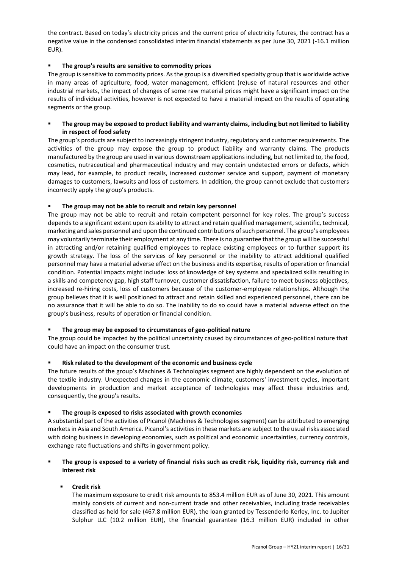the contract. Based on today's electricity prices and the current price of electricity futures, the contract has a negative value in the condensed consolidated interim financial statements as per June 30, 2021 (-16.1 million EUR).

## ▪ **The group's results are sensitive to commodity prices**

The group is sensitive to commodity prices. As the group is a diversified specialty group that is worldwide active in many areas of agriculture, food, water management, efficient (re)use of natural resources and other industrial markets, the impact of changes of some raw material prices might have a significant impact on the results of individual activities, however is not expected to have a material impact on the results of operating segments or the group.

#### ▪ **The group may be exposed to product liability and warranty claims, including but not limited to liability in respect of food safety**

The group's products are subject to increasingly stringent industry, regulatory and customer requirements. The activities of the group may expose the group to product liability and warranty claims. The products manufactured by the group are used in various downstream applications including, but not limited to, the food, cosmetics, nutraceutical and pharmaceutical industry and may contain undetected errors or defects, which may lead, for example, to product recalls, increased customer service and support, payment of monetary damages to customers, lawsuits and loss of customers. In addition, the group cannot exclude that customers incorrectly apply the group's products.

# The group may not be able to recruit and retain key personnel

The group may not be able to recruit and retain competent personnel for key roles. The group's success depends to a significant extent upon its ability to attract and retain qualified management, scientific, technical, marketing and sales personnel and upon the continued contributions of such personnel. The group's employees may voluntarily terminate their employment at any time. There is no guarantee that the group will be successful in attracting and/or retaining qualified employees to replace existing employees or to further support its growth strategy. The loss of the services of key personnel or the inability to attract additional qualified personnel may have a material adverse effect on the business and its expertise, results of operation or financial condition. Potential impacts might include: loss of knowledge of key systems and specialized skills resulting in a skills and competency gap, high staff turnover, customer dissatisfaction, failure to meet business objectives, increased re-hiring costs, loss of customers because of the customer-employee relationships. Although the group believes that it is well positioned to attract and retain skilled and experienced personnel, there can be no assurance that it will be able to do so. The inability to do so could have a material adverse effect on the group's business, results of operation or financial condition.

#### The group may be exposed to circumstances of geo-political nature

The group could be impacted by the political uncertainty caused by circumstances of geo-political nature that could have an impact on the consumer trust.

#### Risk related to the development of the economic and business cycle

The future results of the group's Machines & Technologies segment are highly dependent on the evolution of the textile industry. Unexpected changes in the economic climate, customers' investment cycles, important developments in production and market acceptance of technologies may affect these industries and, consequently, the group's results.

#### The group is exposed to risks associated with growth economies

A substantial part of the activities of Picanol (Machines & Technologies segment) can be attributed to emerging markets in Asia and South America. Picanol's activities in these markets are subject to the usual risks associated with doing business in developing economies, such as political and economic uncertainties, currency controls, exchange rate fluctuations and shifts in government policy.

# The group is exposed to a variety of financial risks such as credit risk, liquidity risk, currency risk and **interest risk**

# ▪ **Credit risk**

The maximum exposure to credit risk amounts to 853.4 million EUR as of June 30, 2021. This amount mainly consists of current and non-current trade and other receivables, including trade receivables classified as held for sale (467.8 million EUR), the loan granted by Tessenderlo Kerley, Inc. to Jupiter Sulphur LLC (10.2 million EUR), the financial guarantee (16.3 million EUR) included in other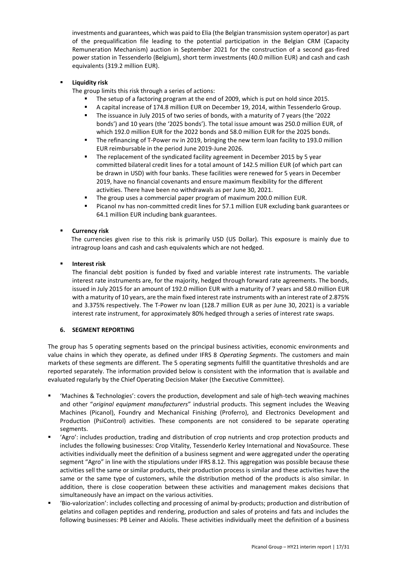investments and guarantees, which was paid to Elia (the Belgian transmission system operator) as part of the prequalification file leading to the potential participation in the Belgian CRM (Capacity Remuneration Mechanism) auction in September 2021 for the construction of a second gas-fired power station in Tessenderlo (Belgium), short term investments (40.0 million EUR) and cash and cash equivalents (319.2 million EUR).

# **Liquidity risk**

The group limits this risk through a series of actions:

- The setup of a factoring program at the end of 2009, which is put on hold since 2015.
- A capital increase of 174.8 million EUR on December 19, 2014, within Tessenderlo Group.
- The issuance in July 2015 of two series of bonds, with a maturity of 7 years (the '2022 bonds') and 10 years (the '2025 bonds'). The total issue amount was 250.0 million EUR, of which 192.0 million EUR for the 2022 bonds and 58.0 million EUR for the 2025 bonds.
- The refinancing of T-Power nv in 2019, bringing the new term loan facility to 193.0 million EUR reimbursable in the period June 2019-June 2026.
- The replacement of the syndicated facility agreement in December 2015 by 5 year committed bilateral credit lines for a total amount of 142.5 million EUR (of which part can be drawn in USD) with four banks. These facilities were renewed for 5 years in December 2019, have no financial covenants and ensure maximum flexibility for the different activities. There have been no withdrawals as per June 30, 2021.
- The group uses a commercial paper program of maximum 200.0 million EUR.
- Picanol nv has non-committed credit lines for 57.1 million EUR excluding bank guarantees or 64.1 million EUR including bank guarantees.

# **Currency risk**

The currencies given rise to this risk is primarily USD (US Dollar). This exposure is mainly due to intragroup loans and cash and cash equivalents which are not hedged.

#### **Interest risk**

The financial debt position is funded by fixed and variable interest rate instruments. The variable interest rate instruments are, for the majority, hedged through forward rate agreements. The bonds, issued in July 2015 for an amount of 192.0 million EUR with a maturity of 7 years and 58.0 million EUR with a maturity of 10 years, are the main fixed interest rate instruments with an interest rate of 2.875% and 3.375% respectively. The T-Power nv loan (128.7 million EUR as per June 30, 2021) is a variable interest rate instrument, for approximately 80% hedged through a series of interest rate swaps.

#### <span id="page-16-0"></span>**6. SEGMENT REPORTING**

The group has 5 operating segments based on the principal business activities, economic environments and value chains in which they operate, as defined under IFRS 8 *Operating Segments*. The customers and main markets of these segments are different. The 5 operating segments fulfill the quantitative thresholds and are reported separately. The information provided below is consistent with the information that is available and evaluated regularly by the Chief Operating Decision Maker (the Executive Committee).

- 'Machines & Technologies': covers the production, development and sale of high-tech weaving machines and other "*original equipment manufacturers*" industrial products. This segment includes the Weaving Machines (Picanol), Foundry and Mechanical Finishing (Proferro), and Electronics Development and Production (PsiControl) activities. These components are not considered to be separate operating segments.
- 'Agro': includes production, trading and distribution of crop nutrients and crop protection products and includes the following businesses: Crop Vitality, Tessenderlo Kerley International and NovaSource. These activities individually meet the definition of a business segment and were aggregated under the operating segment "Agro" in line with the stipulations under IFRS 8.12. This aggregation was possible because these activities sell the same or similar products, their production process is similar and these activities have the same or the same type of customers, while the distribution method of the products is also similar. In addition, there is close cooperation between these activities and management makes decisions that simultaneously have an impact on the various activities.
- 'Bio-valorization': includes collecting and processing of animal by-products; production and distribution of gelatins and collagen peptides and rendering, production and sales of proteins and fats and includes the following businesses: PB Leiner and Akiolis. These activities individually meet the definition of a business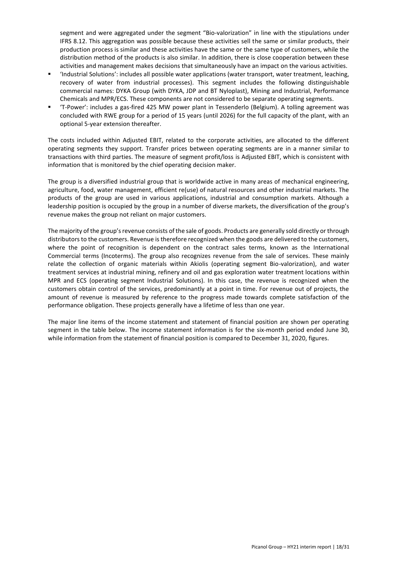segment and were aggregated under the segment "Bio-valorization" in line with the stipulations under IFRS 8.12. This aggregation was possible because these activities sell the same or similar products, their production process is similar and these activities have the same or the same type of customers, while the distribution method of the products is also similar. In addition, there is close cooperation between these activities and management makes decisions that simultaneously have an impact on the various activities.

- 'Industrial Solutions': includes all possible water applications (water transport, water treatment, leaching, recovery of water from industrial processes). This segment includes the following distinguishable commercial names: DYKA Group (with DYKA, JDP and BT Nyloplast), Mining and Industrial, Performance Chemicals and MPR/ECS. These components are not considered to be separate operating segments.
- 'T-Power': includes a gas-fired 425 MW power plant in Tessenderlo (Belgium). A tolling agreement was concluded with RWE group for a period of 15 years (until 2026) for the full capacity of the plant, with an optional 5-year extension thereafter.

The costs included within Adjusted EBIT, related to the corporate activities, are allocated to the different operating segments they support. Transfer prices between operating segments are in a manner similar to transactions with third parties. The measure of segment profit/loss is Adjusted EBIT, which is consistent with information that is monitored by the chief operating decision maker.

The group is a diversified industrial group that is worldwide active in many areas of mechanical engineering, agriculture, food, water management, efficient re(use) of natural resources and other industrial markets. The products of the group are used in various applications, industrial and consumption markets. Although a leadership position is occupied by the group in a number of diverse markets, the diversification of the group's revenue makes the group not reliant on major customers.

The majority of the group's revenue consists of the sale of goods. Products are generally sold directly or through distributors to the customers. Revenue is therefore recognized when the goods are delivered to the customers, where the point of recognition is dependent on the contract sales terms, known as the International Commercial terms (Incoterms). The group also recognizes revenue from the sale of services. These mainly relate the collection of organic materials within Akiolis (operating segment Bio-valorization), and water treatment services at industrial mining, refinery and oil and gas exploration water treatment locations within MPR and ECS (operating segment Industrial Solutions). In this case, the revenue is recognized when the customers obtain control of the services, predominantly at a point in time. For revenue out of projects, the amount of revenue is measured by reference to the progress made towards complete satisfaction of the performance obligation. These projects generally have a lifetime of less than one year.

The major line items of the income statement and statement of financial position are shown per operating segment in the table below. The income statement information is for the six-month period ended June 30, while information from the statement of financial position is compared to December 31, 2020, figures.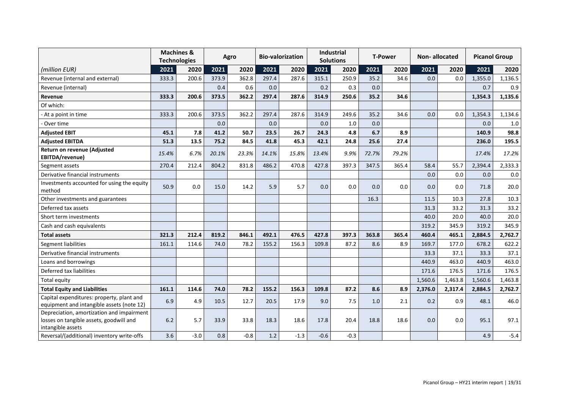|                                                                                                           |       | <b>Machines &amp;</b><br><b>Technologies</b> |       | Agro   |       | <b>Bio-valorization</b> |        | <b>Industrial</b><br><b>Solutions</b> |       | <b>T-Power</b> | <b>Non-allocated</b> |         |         | <b>Picanol Group</b> |
|-----------------------------------------------------------------------------------------------------------|-------|----------------------------------------------|-------|--------|-------|-------------------------|--------|---------------------------------------|-------|----------------|----------------------|---------|---------|----------------------|
| (million EUR)                                                                                             | 2021  | 2020                                         | 2021  | 2020   | 2021  | 2020                    | 2021   | 2020                                  | 2021  | 2020           | 2021                 | 2020    | 2021    | 2020                 |
| Revenue (internal and external)                                                                           | 333.3 | 200.6                                        | 373.9 | 362.8  | 297.4 | 287.6                   | 315.1  | 250.9                                 | 35.2  | 34.6           | 0.0                  | 0.0     | 1,355.0 | 1,136.5              |
| Revenue (internal)                                                                                        |       |                                              | 0.4   | 0.6    | 0.0   |                         | 0.2    | 0.3                                   | 0.0   |                |                      |         | 0.7     | 0.9                  |
| Revenue                                                                                                   | 333.3 | 200.6                                        | 373.5 | 362.2  | 297.4 | 287.6                   | 314.9  | 250.6                                 | 35.2  | 34.6           |                      |         | 1,354.3 | 1,135.6              |
| Of which:                                                                                                 |       |                                              |       |        |       |                         |        |                                       |       |                |                      |         |         |                      |
| - At a point in time                                                                                      | 333.3 | 200.6                                        | 373.5 | 362.2  | 297.4 | 287.6                   | 314.9  | 249.6                                 | 35.2  | 34.6           | 0.0                  | 0.0     | 1,354.3 | 1,134.6              |
| - Over time                                                                                               |       |                                              | 0.0   |        | 0.0   |                         | 0.0    | 1.0                                   | 0.0   |                |                      |         | 0.0     | 1.0                  |
| <b>Adjusted EBIT</b>                                                                                      | 45.1  | 7.8                                          | 41.2  | 50.7   | 23.5  | 26.7                    | 24.3   | 4.8                                   | 6.7   | 8.9            |                      |         | 140.9   | 98.8                 |
| <b>Adjusted EBITDA</b>                                                                                    | 51.3  | 13.5                                         | 75.2  | 84.5   | 41.8  | 45.3                    | 42.1   | 24.8                                  | 25.6  | 27.4           |                      |         | 236.0   | 195.5                |
| Return on revenue (Adjusted<br>EBITDA/revenue)                                                            | 15.4% | 6.7%                                         | 20.1% | 23.3%  | 14.1% | 15.8%                   | 13.4%  | 9.9%                                  | 72.7% | 79.2%          |                      |         | 17.4%   | 17.2%                |
| Segment assets                                                                                            | 270.4 | 212.4                                        | 804.2 | 831.8  | 486.2 | 470.8                   | 427.8  | 397.3                                 | 347.5 | 365.4          | 58.4                 | 55.7    | 2,394.4 | 2,333.3              |
| Derivative financial instruments                                                                          |       |                                              |       |        |       |                         |        |                                       |       |                | 0.0                  | 0.0     | 0.0     | $0.0\,$              |
| Investments accounted for using the equity<br>method                                                      | 50.9  | 0.0                                          | 15.0  | 14.2   | 5.9   | 5.7                     | 0.0    | 0.0                                   | 0.0   | 0.0            | 0.0                  | 0.0     | 71.8    | 20.0                 |
| Other investments and guarantees                                                                          |       |                                              |       |        |       |                         |        |                                       | 16.3  |                | 11.5                 | 10.3    | 27.8    | 10.3                 |
| Deferred tax assets                                                                                       |       |                                              |       |        |       |                         |        |                                       |       |                | 31.3                 | 33.2    | 31.3    | 33.2                 |
| Short term investments                                                                                    |       |                                              |       |        |       |                         |        |                                       |       |                | 40.0                 | 20.0    | 40.0    | 20.0                 |
| Cash and cash equivalents                                                                                 |       |                                              |       |        |       |                         |        |                                       |       |                | 319.2                | 345.9   | 319.2   | 345.9                |
| <b>Total assets</b>                                                                                       | 321.3 | 212.4                                        | 819.2 | 846.1  | 492.1 | 476.5                   | 427.8  | 397.3                                 | 363.8 | 365.4          | 460.4                | 465.1   | 2,884.5 | 2,762.7              |
| <b>Segment liabilities</b>                                                                                | 161.1 | 114.6                                        | 74.0  | 78.2   | 155.2 | 156.3                   | 109.8  | 87.2                                  | 8.6   | 8.9            | 169.7                | 177.0   | 678.2   | 622.2                |
| Derivative financial instruments                                                                          |       |                                              |       |        |       |                         |        |                                       |       |                | 33.3                 | 37.1    | 33.3    | 37.1                 |
| Loans and borrowings                                                                                      |       |                                              |       |        |       |                         |        |                                       |       |                | 440.9                | 463.0   | 440.9   | 463.0                |
| Deferred tax liabilities                                                                                  |       |                                              |       |        |       |                         |        |                                       |       |                | 171.6                | 176.5   | 171.6   | 176.5                |
| Total equity                                                                                              |       |                                              |       |        |       |                         |        |                                       |       |                | 1,560.6              | 1,463.8 | 1,560.6 | 1,463.8              |
| <b>Total Equity and Liabilities</b>                                                                       | 161.1 | 114.6                                        | 74.0  | 78.2   | 155.2 | 156.3                   | 109.8  | 87.2                                  | 8.6   | 8.9            | 2,376.0              | 2,317.4 | 2,884.5 | 2,762.7              |
| Capital expenditures: property, plant and<br>equipment and intangible assets (note 12)                    | 6.9   | 4.9                                          | 10.5  | 12.7   | 20.5  | 17.9                    | 9.0    | 7.5                                   | 1.0   | 2.1            | 0.2                  | 0.9     | 48.1    | 46.0                 |
| Depreciation, amortization and impairment<br>losses on tangible assets, goodwill and<br>intangible assets | $6.2$ | 5.7                                          | 33.9  | 33.8   | 18.3  | 18.6                    | 17.8   | 20.4                                  | 18.8  | 18.6           | 0.0                  | 0.0     | 95.1    | 97.1                 |
| Reversal/(additional) inventory write-offs                                                                | 3.6   | $-3.0$                                       | 0.8   | $-0.8$ | 1.2   | $-1.3$                  | $-0.6$ | $-0.3$                                |       |                |                      |         | 4.9     | $-5.4$               |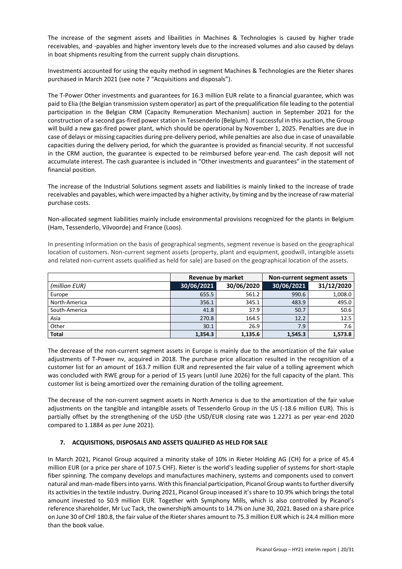The increase of the segment assets and libailities in Machines & Technologies is caused by higher trade receivables, and -payables and higher inventory levels due to the increased volumes and also caused by delays in boat shipments resulting from the current supply chain disruptions.

Investments accounted for using the equity method in segment Machines & Technologies are the Rieter shares purchased in March 2021 (see note 7 "Acquisitions and disposals").

The T-Power Other investments and guarantees for 16.3 million EUR relate to a financial guarantee, which was paid to Elia (the Belgian transmission system operator) as part of the prequalification file leading to the potential participation in the Belgian CRM (Capacity Remuneration Mechanism) auction in September 2021 for the construction of a second gas-fired power station in Tessenderlo (Belgium). If successful in this auction, the Group will build a new gas-fired power plant, which should be operational by November 1, 2025. Penalties are due in case of delays or missing capacities during pre-delivery period, while penalties are also due in case of unavailable capacities during the delivery period, for which the guarantee is provided as financial security. If not successful in the CRM auction, the guarantee is expected to be reimbursed before year-end. The cash deposit will not accumulate interest. The cash guarantee is included in "Other investments and guarantees" in the statement of financial position.

The increase of the Industrial Solutions segment assets and liabilities is mainly linked to the increase of trade receivables and payables, which were impacted by a higher activity, by timing and by the increase of raw material purchase costs.

Non-allocated segment liabilities mainly include environmental provisions recognized for the plants in Belgium (Ham, Tessenderlo, Vilvoorde) and France (Loos).

In presenting information on the basis of geographical segments, segment revenue is based on the geographical location of customers. Non-current segment assets (property, plant and equipment, goodwill, intangible assets and related non-current assets qualified as held for sale) are based on the geographical location of the assets.

|               | <b>Revenue by market</b> |            | Non-current segment assets |            |
|---------------|--------------------------|------------|----------------------------|------------|
| (million EUR) | 30/06/2021               | 30/06/2020 | 30/06/2021                 | 31/12/2020 |
| Europe        | 655.5                    | 561.2      | 990.6                      | 1,008.0    |
| North-America | 356.1                    | 345.1      | 483.9                      | 495.0      |
| South-America | 41.8                     | 37.9       | 50.7                       | 50.6       |
| Asia          | 270.8                    | 164.5      | 12.2                       | 12.5       |
| Other         | 30.1                     | 26.9       | 7.9                        | 7.6        |
| <b>Total</b>  | 1,354.3                  | 1,135.6    | 1,545.3                    | 1,573.8    |

The decrease of the non-current segment assets in Europe is mainly due to the amortization of the fair value adjustments of T-Power nv, acquired in 2018. The purchase price allocation resulted in the recognition of a customer list for an amount of 163.7 million EUR and represented the fair value of a tolling agreement which was concluded with RWE group for a period of 15 years (until June 2026) for the full capacity of the plant. This customer list is being amortized over the remaining duration of the tolling agreement.

The decrease of the non-current segment assets in North America is due to the amortization of the fair value adjustments on the tangible and intangible assets of Tessenderlo Group in the US (-18.6 million EUR). This is partially offset by the strengthening of the USD (the USD/EUR closing rate was 1.2271 as per year-end 2020 compared to 1.1884 as per June 2021).

#### <span id="page-19-0"></span>**7. ACQUISITIONS, DISPOSALS AND ASSETS QUALIFIED AS HELD FOR SALE**

In March 2021, Picanol Group acquired a minority stake of 10% in Rieter Holding AG (CH) for a price of 45.4 million EUR (or a price per share of 107.5 CHF). Rieter is the world's leading supplier of systems for short-staple fiber spinning. The company develops and manufactures machinery, systems and components used to convert natural and man-made fibers into yarns. With this financial participation, Picanol Group wants to further diversify its activities in the textile industry. During 2021, Picanol Group inceased it's share to 10.9% which brings the total amount invested to 50.9 million EUR. Together with Symphony Mills, which is also controlled by Picanol's reference shareholder, Mr Luc Tack, the ownership% amounts to 14.7% on June 30, 2021. Based on a share price on June 30 of CHF 180.8, the fair value of the Rieter shares amount to 75.3 million EUR which is 24.4 million more than the book value.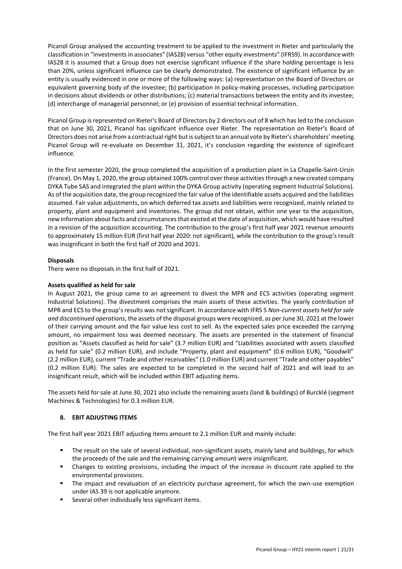Picanol Group analysed the accounting treatment to be applied to the investment in Rieter and particularly the classification in "investments in associates" (IAS28) versus "other equity investments" (IFRS9). In accordance with IAS28 it is assumed that a Group does not exercise significant influence if the share holding percentage is less than 20%, unless significant influence can be clearly demonstrated. The existence of significant influence by an entity is usually evidenced in one or more of the following ways: (a) representation on the Board of Directors or equivalent governing body of the investee; (b) participation in policy-making processes, including participation in decisions about dividends or other distributions; (c) material transactions between the entity and its investee; (d) interchange of managerial personnel; or (e) provision of essential technical information.

Picanol Group is represented on Rieter's Board of Directors by 2 directors out of 8 which has led to the conclusion that on June 30, 2021, Picanol has significant influence over Rieter. The representation on Rieter's Board of Directors does not arise from a contractual right but is subject to an annual vote by Rieter's shareholders' meeting. Picanol Group will re-evaluate on December 31, 2021, it's conclusion regarding the existence of siginificant influence.

In the first semester 2020, the group completed the acquisition of a production plant in La Chapelle-Saint-Ursin (France). On May 1, 2020, the group obtained 100% control over these activities through a new created company DYKA Tube SAS and integrated the plant within the DYKA Group activity (operating segment Industrial Solutions). As of the acquisition date, the group recognized the fair value of the identifiable assets acquired and the liabilities assumed. Fair value adjustments, on which deferred tax assets and liabilities were recognized, mainly related to property, plant and equipment and inventories. The group did not obtain, within one year to the acquisition, new information about facts and circumstances that existed at the date of acquisition, which would have resulted in a revision of the acquisition accounting. The contribution to the group's first half year 2021 revenue amounts to approximately 15 million EUR (first half year 2020: not significant), while the contribution to the group's result was insignificant in both the first half of 2020 and 2021.

# **Disposals**

There were no disposals in the first half of 2021.

#### **Assets qualified as held for sale**

In August 2021, the group came to an agreement to divest the MPR and ECS activities (operating segment Industrial Solutions). The divestment comprises the main assets of these activities. The yearly contribution of MPR and ECS to the group's results was not significant. In accordance with IFRS 5 *Non-current assets held for sale and discontinued operations*, the assets of the disposal groups were recognized, as per June 30, 2021 at the lower of their carrying amount and the fair value less cost to sell. As the expected sales price exceeded the carrying amount, no impairment loss was deemed necessary. The assets are presented in the statement of financial position as "Assets classified as held for sale" (3.7 million EUR) and "Liabilities associated with assets classified as held for sale" (0.2 million EUR), and include "Property, plant and equipment" (0.6 million EUR), "Goodwill" (2.2 million EUR), current "Trade and other receivables" (1.0 million EUR) and current "Trade and other payables" (0.2 million EUR). The sales are expected to be completed in the second half of 2021 and will lead to an insignificant result, which will be included within EBIT adjusting items.

The assets held for sale at June 30, 2021 also include the remaining assets (land & buildings) of Burcklé (segment Machines & Technologies) for 0.3 million EUR.

#### <span id="page-20-0"></span>**8. EBIT ADJUSTING ITEMS**

The first half year 2021 EBIT adjusting items amount to 2.1 million EUR and mainly include:

- The result on the sale of several individual, non-significant assets, mainly land and buildings, for which the proceeds of the sale and the remaining carrying amount were insignificant.
- Changes to existing provisions, including the impact of the increase in discount rate applied to the environmental provisions.
- The impact and revaluation of an electricity purchase agreement, for which the own-use exemption under IAS 39 is not applicable anymore.
- Several other individually less significant items.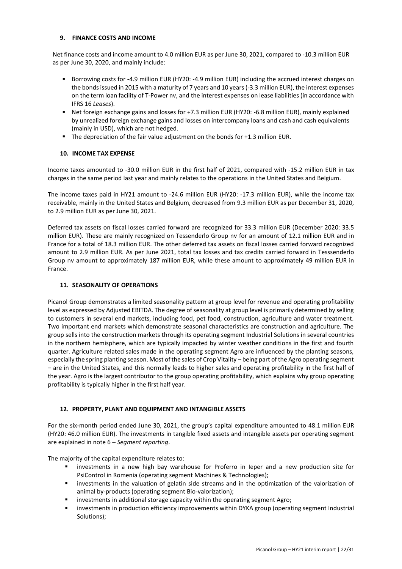#### <span id="page-21-0"></span>**9. FINANCE COSTS AND INCOME**

Net finance costs and income amount to 4.0 million EUR as per June 30, 2021, compared to -10.3 million EUR as per June 30, 2020, and mainly include:

- Borrowing costs for -4.9 million EUR (HY20: -4.9 million EUR) including the accrued interest charges on the bonds issued in 2015 with a maturity of 7 years and 10 years (-3.3 million EUR), the interest expenses on the term loan facility of T-Power nv, and the interest expenses on lease liabilities (in accordance with IFRS 16 *Leases*).
- Net foreign exchange gains and losses for +7.3 million EUR (HY20: -6.8 million EUR), mainly explained by unrealized foreign exchange gains and losses on intercompany loans and cash and cash equivalents (mainly in USD), which are not hedged.
- The depreciation of the fair value adjustment on the bonds for +1.3 million EUR.

#### <span id="page-21-1"></span>**10. INCOME TAX EXPENSE**

Income taxes amounted to -30.0 million EUR in the first half of 2021, compared with -15.2 million EUR in tax charges in the same period last year and mainly relates to the operations in the United States and Belgium.

The income taxes paid in HY21 amount to -24.6 million EUR (HY20: -17.3 million EUR), while the income tax receivable, mainly in the United States and Belgium, decreased from 9.3 million EUR as per December 31, 2020, to 2.9 million EUR as per June 30, 2021.

Deferred tax assets on fiscal losses carried forward are recognized for 33.3 million EUR (December 2020: 33.5 million EUR). These are mainly recognized on Tessenderlo Group nv for an amount of 12.1 million EUR and in France for a total of 18.3 million EUR. The other deferred tax assets on fiscal losses carried forward recognized amount to 2.9 million EUR. As per June 2021, total tax losses and tax credits carried forward in Tesssenderlo Group nv amount to approximately 187 million EUR, while these amount to approximately 49 million EUR in France.

#### <span id="page-21-2"></span>**11. SEASONALITY OF OPERATIONS**

Picanol Group demonstrates a limited seasonality pattern at group level for revenue and operating profitability level as expressed by Adjusted EBITDA. The degree of seasonality at group level is primarily determined by selling to customers in several end markets, including food, pet food, construction, agriculture and water treatment. Two important end markets which demonstrate seasonal characteristics are construction and agriculture. The group sells into the construction markets through its operating segment Industrial Solutions in several countries in the northern hemisphere, which are typically impacted by winter weather conditions in the first and fourth quarter. Agriculture related sales made in the operating segment Agro are influenced by the planting seasons, especially the spring planting season. Most of the sales of Crop Vitality – being part of the Agro operating segment – are in the United States, and this normally leads to higher sales and operating profitability in the first half of the year. Agro is the largest contributor to the group operating profitability, which explains why group operating profitability is typically higher in the first half year.

#### <span id="page-21-3"></span>**12. PROPERTY, PLANT AND EQUIPMENT AND INTANGIBLE ASSETS**

For the six-month period ended June 30, 2021, the group's capital expenditure amounted to 48.1 million EUR (HY20: 46.0 million EUR). The investments in tangible fixed assets and intangible assets per operating segment are explained in note 6 – *Segment reporting*.

The majority of the capital expenditure relates to:

- investments in a new high bay warehouse for Proferro in leper and a new production site for PsiControl in Romenia (operating segment Machines & Technologies);
- investments in the valuation of gelatin side streams and in the optimization of the valorization of animal by-products (operating segment Bio-valorization);
- investments in additional storage capacity within the operating segment Agro;
- investments in production efficiency improvements within DYKA group (operating segment Industrial Solutions);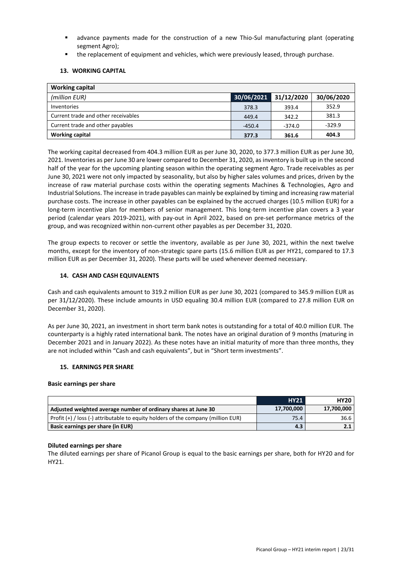- advance payments made for the construction of a new Thio-Sul manufacturing plant (operating segment Agro);
- the replacement of equipment and vehicles, which were previously leased, through purchase.

#### <span id="page-22-0"></span>**13. WORKING CAPITAL**

| <b>Working capital</b>              |            |            |            |
|-------------------------------------|------------|------------|------------|
| (million EUR)                       | 30/06/2021 | 31/12/2020 | 30/06/2020 |
| Inventories                         | 378.3      | 393.4      | 352.9      |
| Current trade and other receivables | 449.4      | 342.2      | 381.3      |
| Current trade and other payables    | $-450.4$   | -374.0     | $-329.9$   |
| <b>Working capital</b>              | 377.3      | 361.6      | 404.3      |

The working capital decreased from 404.3 million EUR as per June 30, 2020, to 377.3 million EUR as per June 30, 2021. Inventories as per June 30 are lower compared to December 31, 2020, as inventory is built up in the second half of the year for the upcoming planting season within the operating segment Agro. Trade receivables as per June 30, 2021 were not only impacted by seasonality, but also by higher sales volumes and prices, driven by the increase of raw material purchase costs within the operating segments Machines & Technologies, Agro and Industrial Solutions. The increase in trade payables can mainly be explained by timing and increasing raw material purchase costs. The increase in other payables can be explained by the accrued charges (10.5 million EUR) for a long-term incentive plan for members of senior management. This long-term incentive plan covers a 3 year period (calendar years 2019-2021), with pay-out in April 2022, based on pre-set performance metrics of the group, and was recognized within non-current other payables as per December 31, 2020.

The group expects to recover or settle the inventory, available as per June 30, 2021, within the next twelve months, except for the inventory of non-strategic spare parts (15.6 million EUR as per HY21, compared to 17.3 million EUR as per December 31, 2020). These parts will be used whenever deemed necessary.

#### <span id="page-22-1"></span>**14. CASH AND CASH EQUIVALENTS**

Cash and cash equivalents amount to 319.2 million EUR as per June 30, 2021 (compared to 345.9 million EUR as per 31/12/2020). These include amounts in USD equaling 30.4 million EUR (compared to 27.8 million EUR on December 31, 2020).

As per June 30, 2021, an investment in short term bank notes is outstanding for a total of 40.0 million EUR. The counterparty is a highly rated international bank. The notes have an original duration of 9 months (maturing in December 2021 and in January 2022). As these notes have an initial maturity of more than three months, they are not included within "Cash and cash equivalents", but in "Short term investments".

#### <span id="page-22-2"></span>**15. EARNINGS PER SHARE**

#### **Basic earnings per share**

|                                                                                       | <b>HY21</b> | <b>HY20</b> |
|---------------------------------------------------------------------------------------|-------------|-------------|
| Adjusted weighted average number of ordinary shares at June 30                        | 17,700,000  | 17,700,000  |
| Profit $(+)$ / loss $(-)$ attributable to equity holders of the company (million EUR) | 75.4        | 36.6        |
| Basic earnings per share (in EUR)                                                     | 4.3         | 2.1         |

#### **Diluted earnings per share**

The diluted earnings per share of Picanol Group is equal to the basic earnings per share, both for HY20 and for HY21.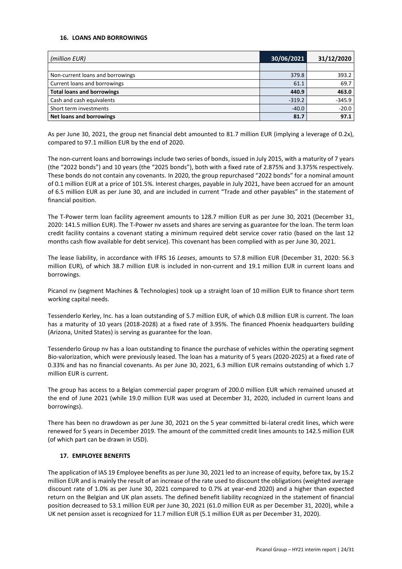#### <span id="page-23-0"></span>**16. LOANS AND BORROWINGS**

| (million EUR)                     | 30/06/2021 | 31/12/2020 |
|-----------------------------------|------------|------------|
|                                   |            |            |
| Non-current loans and borrowings  | 379.8      | 393.2      |
| Current loans and borrowings      | 61.1       | 69.7       |
| <b>Total loans and borrowings</b> | 440.9      | 463.0      |
| Cash and cash equivalents         | $-319.2$   | $-345.9$   |
| Short term investments            | $-40.0$    | $-20.0$    |
| <b>Net loans and borrowings</b>   | 81.7       | 97.1       |

As per June 30, 2021, the group net financial debt amounted to 81.7 million EUR (implying a leverage of 0.2x), compared to 97.1 million EUR by the end of 2020.

The non-current loans and borrowings include two series of bonds, issued in July 2015, with a maturity of 7 years (the "2022 bonds") and 10 years (the "2025 bonds"), both with a fixed rate of 2.875% and 3.375% respectively. These bonds do not contain any covenants. In 2020, the group repurchased "2022 bonds" for a nominal amount of 0.1 million EUR at a price of 101.5%. Interest charges, payable in July 2021, have been accrued for an amount of 6.5 million EUR as per June 30, and are included in current "Trade and other payables" in the statement of financial position.

The T-Power term loan facility agreement amounts to 128.7 million EUR as per June 30, 2021 (December 31, 2020: 141.5 million EUR). The T-Power nv assets and shares are serving as guarantee for the loan. The term loan credit facility contains a covenant stating a minimum required debt service cover ratio (based on the last 12 months cash flow available for debt service). This covenant has been complied with as per June 30, 2021.

The lease liability, in accordance with IFRS 16 *Leases*, amounts to 57.8 million EUR (December 31, 2020: 56.3 million EUR), of which 38.7 million EUR is included in non-current and 19.1 million EUR in current loans and borrowings.

Picanol nv (segment Machines & Technologies) took up a straight loan of 10 million EUR to finance short term working capital needs.

Tessenderlo Kerley, Inc. has a loan outstanding of 5.7 million EUR, of which 0.8 million EUR is current. The loan has a maturity of 10 years (2018-2028) at a fixed rate of 3.95%. The financed Phoenix headquarters building (Arizona, United States) is serving as guarantee for the loan.

Tessenderlo Group nv has a loan outstanding to finance the purchase of vehicles within the operating segment Bio-valorization, which were previously leased. The loan has a maturity of 5 years (2020-2025) at a fixed rate of 0.33% and has no financial covenants. As per June 30, 2021, 6.3 million EUR remains outstanding of which 1.7 million EUR is current.

The group has access to a Belgian commercial paper program of 200.0 million EUR which remained unused at the end of June 2021 (while 19.0 million EUR was used at December 31, 2020, included in current loans and borrowings).

There has been no drawdown as per June 30, 2021 on the 5 year committed bi-lateral credit lines, which were renewed for 5 years in December 2019. The amount of the committed credit lines amounts to 142.5 million EUR (of which part can be drawn in USD).

#### <span id="page-23-1"></span>**17. EMPLOYEE BENEFITS**

The application of IAS 19 Employee benefits as per June 30, 2021 led to an increase of equity, before tax, by 15.2 million EUR and is mainly the result of an increase of the rate used to discount the obligations (weighted average discount rate of 1.0% as per June 30, 2021 compared to 0.7% at year-end 2020) and a higher than expected return on the Belgian and UK plan assets. The defined benefit liability recognized in the statement of financial position decreased to 53.1 million EUR per June 30, 2021 (61.0 million EUR as per December 31, 2020), while a UK net pension asset is recognized for 11.7 million EUR (5.1 million EUR as per December 31, 2020).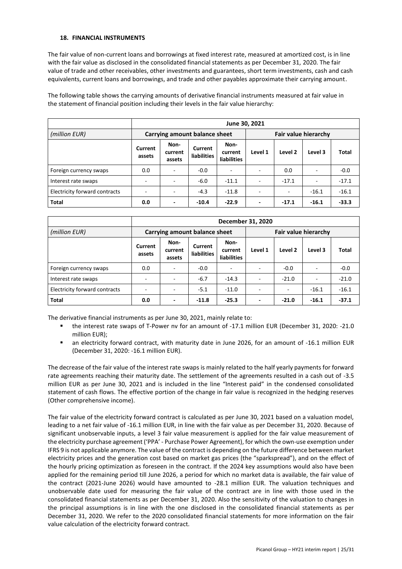#### <span id="page-24-0"></span>**18. FINANCIAL INSTRUMENTS**

The fair value of non-current loans and borrowings at fixed interest rate, measured at amortized cost, is in line with the fair value as disclosed in the consolidated financial statements as per December 31, 2020. The fair value of trade and other receivables, other investments and guarantees, short term investments, cash and cash equivalents, current loans and borrowings, and trade and other payables approximate their carrying amount.

The following table shows the carrying amounts of derivative financial instruments measured at fair value in the statement of financial position including their levels in the fair value hierarchy:

|                               | June 30, 2021            |                           |                               |                                       |                          |         |                          |         |  |
|-------------------------------|--------------------------|---------------------------|-------------------------------|---------------------------------------|--------------------------|---------|--------------------------|---------|--|
| (million EUR)                 |                          |                           | Carrying amount balance sheet |                                       |                          |         |                          |         |  |
|                               | Current<br>assets        | Non-<br>current<br>assets | Current<br><b>liabilities</b> | Non-<br>current<br><b>liabilities</b> | Level 1                  | Level 2 | Level 3                  | Total   |  |
| Foreign currency swaps        | 0.0                      | $\sim$                    | $-0.0$                        |                                       |                          | 0.0     | $\overline{\phantom{a}}$ | $-0.0$  |  |
| Interest rate swaps           | $\overline{\phantom{a}}$ |                           | $-6.0$                        | $-11.1$                               |                          | $-17.1$ | $\overline{\phantom{a}}$ | $-17.1$ |  |
| Electricity forward contracts | ÷                        | ٠                         | $-4.3$                        | $-11.8$                               |                          |         | $-16.1$                  | $-16.1$ |  |
| <b>Total</b>                  | 0.0                      | $\overline{\phantom{a}}$  | $-10.4$                       | $-22.9$                               | $\overline{\phantom{a}}$ | $-17.1$ | $-16.1$                  | $-33.3$ |  |

|                               |                   | December 31, 2020         |                               |                                       |                      |         |         |         |  |  |
|-------------------------------|-------------------|---------------------------|-------------------------------|---------------------------------------|----------------------|---------|---------|---------|--|--|
| (million EUR)                 |                   |                           | Carrying amount balance sheet |                                       | Fair value hierarchy |         |         |         |  |  |
|                               | Current<br>assets | Non-<br>current<br>assets | Current<br><b>liabilities</b> | Non-<br>current<br><b>liabilities</b> | Level 1              | Level 2 | Level 3 | Total   |  |  |
| Foreign currency swaps        | 0.0               | ٠                         | $-0.0$                        |                                       |                      | $-0.0$  | ٠       | $-0.0$  |  |  |
| Interest rate swaps           |                   | $\overline{\phantom{a}}$  | $-6.7$                        | $-14.3$                               |                      | $-21.0$ | ÷       | $-21.0$ |  |  |
| Electricity forward contracts |                   |                           | $-5.1$                        | $-11.0$                               |                      |         | $-16.1$ | $-16.1$ |  |  |
| <b>Total</b>                  | 0.0               | $\overline{\phantom{a}}$  | $-11.8$                       | $-25.3$                               |                      | $-21.0$ | $-16.1$ | $-37.1$ |  |  |

The derivative financial instruments as per June 30, 2021, mainly relate to:

- the interest rate swaps of T-Power nv for an amount of -17.1 million EUR (December 31, 2020: -21.0 million EUR);
- an electricity forward contract, with maturity date in June 2026, for an amount of -16.1 million EUR (December 31, 2020: -16.1 million EUR).

The decrease of the fair value of the interest rate swaps is mainly related to the half yearly payments for forward rate agreements reaching their maturity date. The settlement of the agreements resulted in a cash out of -3.5 million EUR as per June 30, 2021 and is included in the line "Interest paid" in the condensed consolidated statement of cash flows. The effective portion of the change in fair value is recognized in the hedging reserves (Other comprehensive income).

The fair value of the electricity forward contract is calculated as per June 30, 2021 based on a valuation model, leading to a net fair value of -16.1 million EUR, in line with the fair value as per December 31, 2020. Because of significant unobservable inputs, a level 3 fair value measurement is applied for the fair value measurement of the electricity purchase agreement ('PPA' - Purchase Power Agreement), for which the own-use exemption under IFRS 9 is not applicable anymore. The value of the contract is depending on the future difference between market electricity prices and the generation cost based on market gas prices (the "sparkspread"), and on the effect of the hourly pricing optimization as foreseen in the contract. If the 2024 key assumptions would also have been applied for the remaining period till June 2026, a period for which no market data is available, the fair value of the contract (2021-June 2026) would have amounted to -28.1 million EUR. The valuation techniques and unobservable date used for measuring the fair value of the contract are in line with those used in the consolidated financial statements as per December 31, 2020. Also the sensitivity of the valuation to changes in the principal assumptions is in line with the one disclosed in the consolidated financial statements as per December 31, 2020. We refer to the 2020 consolidated financial statements for more information on the fair value calculation of the electricity forward contract.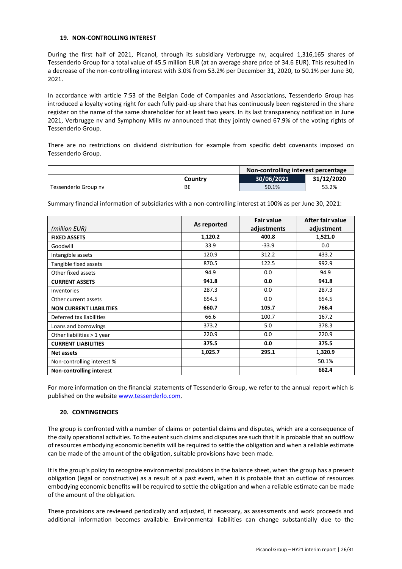#### <span id="page-25-0"></span>**19. NON-CONTROLLING INTEREST**

During the first half of 2021, Picanol, through its subsidiary Verbrugge nv, acquired 1,316,165 shares of Tessenderlo Group for a total value of 45.5 million EUR (at an average share price of 34.6 EUR). This resulted in a decrease of the non-controlling interest with 3.0% from 53.2% per December 31, 2020, to 50.1% per June 30, 2021.

In accordance with article 7:53 of the Belgian Code of Companies and Associations, Tessenderlo Group has introduced a loyalty voting right for each fully paid-up share that has continuously been registered in the share register on the name of the same shareholder for at least two years. In its last transparency notification in June 2021, Verbrugge nv and Symphony Mills nv announced that they jointly owned 67.9% of the voting rights of Tessenderlo Group.

There are no restrictions on dividend distribution for example from specific debt covenants imposed on Tessenderlo Group.

|                      |         | Non-controlling interest percentage |            |  |  |
|----------------------|---------|-------------------------------------|------------|--|--|
|                      | Countrv | 30/06/2021                          | 31/12/2020 |  |  |
| Tessenderlo Group ny | BE      | 50.1%                               | 53.2%      |  |  |

Summary financial information of subsidiaries with a non-controlling interest at 100% as per June 30, 2021:

|                                 | As reported | <b>Fair value</b> | After fair value |
|---------------------------------|-------------|-------------------|------------------|
| (million EUR)                   |             | adjustments       | adjustment       |
| <b>FIXED ASSETS</b>             | 1,120.2     | 400.8             | 1,521.0          |
| Goodwill                        | 33.9        | $-33.9$           | 0.0              |
| Intangible assets               | 120.9       | 312.2             | 433.2            |
| Tangible fixed assets           | 870.5       | 122.5             | 992.9            |
| Other fixed assets              | 94.9        | 0.0               | 94.9             |
| <b>CURRENT ASSETS</b>           | 941.8       | 0.0               | 941.8            |
| <b>Inventories</b>              | 287.3       | 0.0               | 287.3            |
| Other current assets            | 654.5       | 0.0               | 654.5            |
| <b>NON CURRENT LIABILITIES</b>  | 660.7       | 105.7             | 766.4            |
| Deferred tax liabilities        | 66.6        | 100.7             | 167.2            |
| Loans and borrowings            | 373.2       | 5.0               | 378.3            |
| Other liabilities > 1 year      | 220.9       | 0.0               | 220.9            |
| <b>CURRENT LIABILITIES</b>      | 375.5       | 0.0               | 375.5            |
| <b>Net assets</b>               | 1,025.7     | 295.1             | 1,320.9          |
| Non-controlling interest %      |             |                   | 50.1%            |
| <b>Non-controlling interest</b> |             |                   | 662.4            |

For more information on the financial statements of Tessenderlo Group, we refer to the annual report which is published on the websit[e www.tessenderlo.com.](http://www.tessenderlo.com/)

#### <span id="page-25-1"></span>**20. CONTINGENCIES**

The group is confronted with a number of claims or potential claims and disputes, which are a consequence of the daily operational activities. To the extent such claims and disputes are such that it is probable that an outflow of resources embodying economic benefits will be required to settle the obligation and when a reliable estimate can be made of the amount of the obligation, suitable provisions have been made.

It is the group's policy to recognize environmental provisions in the balance sheet, when the group has a present obligation (legal or constructive) as a result of a past event, when it is probable that an outflow of resources embodying economic benefits will be required to settle the obligation and when a reliable estimate can be made of the amount of the obligation.

These provisions are reviewed periodically and adjusted, if necessary, as assessments and work proceeds and additional information becomes available. Environmental liabilities can change substantially due to the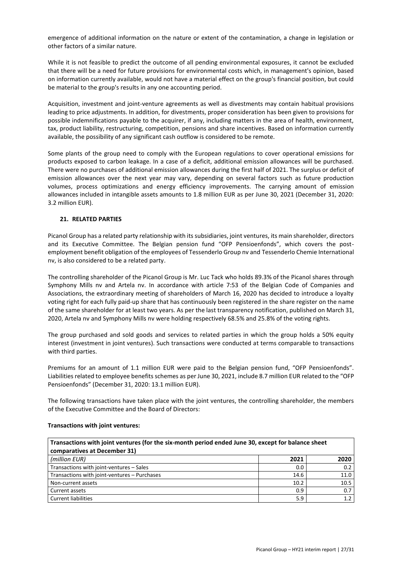emergence of additional information on the nature or extent of the contamination, a change in legislation or other factors of a similar nature.

While it is not feasible to predict the outcome of all pending environmental exposures, it cannot be excluded that there will be a need for future provisions for environmental costs which, in management's opinion, based on information currently available, would not have a material effect on the group's financial position, but could be material to the group's results in any one accounting period.

Acquisition, investment and joint-venture agreements as well as divestments may contain habitual provisions leading to price adjustments. In addition, for divestments, proper consideration has been given to provisions for possible indemnifications payable to the acquirer, if any, including matters in the area of health, environment, tax, product liability, restructuring, competition, pensions and share incentives. Based on information currently available, the possibility of any significant cash outflow is considered to be remote.

Some plants of the group need to comply with the European regulations to cover operational emissions for products exposed to carbon leakage. In a case of a deficit, additional emission allowances will be purchased. There were no purchases of additional emission allowances during the first half of 2021. The surplus or deficit of emission allowances over the next year may vary, depending on several factors such as future production volumes, process optimizations and energy efficiency improvements. The carrying amount of emission allowances included in intangible assets amounts to 1.8 million EUR as per June 30, 2021 (December 31, 2020: 3.2 million EUR).

# <span id="page-26-0"></span>**21. RELATED PARTIES**

Picanol Group has a related party relationship with its subsidiaries, joint ventures, its main shareholder, directors and its Executive Committee. The Belgian pension fund "OFP Pensioenfonds", which covers the postemployment benefit obligation of the employees of Tessenderlo Group nv and Tessenderlo Chemie International nv, is also considered to be a related party.

The controlling shareholder of the Picanol Group is Mr. Luc Tack who holds 89.3% of the Picanol shares through Symphony Mills nv and Artela nv. In accordance with article 7:53 of the Belgian Code of Companies and Associations, the extraordinary meeting of shareholders of March 16, 2020 has decided to introduce a loyalty voting right for each fully paid-up share that has continuously been registered in the share register on the name of the same shareholder for at least two years. As per the last transparency notification, published on March 31, 2020, Artela nv and Symphony Mills nv were holding respectively 68.5% and 25.8% of the voting rights.

The group purchased and sold goods and services to related parties in which the group holds a 50% equity interest (investment in joint ventures). Such transactions were conducted at terms comparable to transactions with third parties.

Premiums for an amount of 1.1 million EUR were paid to the Belgian pension fund, "OFP Pensioenfonds". Liabilities related to employee benefits schemes as per June 30, 2021, include 8.7 million EUR related to the "OFP Pensioenfonds" (December 31, 2020: 13.1 million EUR).

The following transactions have taken place with the joint ventures, the controlling shareholder, the members of the Executive Committee and the Board of Directors:

| Transactions with joint ventures (for the six-month period ended June 30, except for balance sheet<br>comparatives at December 31) |      |                  |  |
|------------------------------------------------------------------------------------------------------------------------------------|------|------------------|--|
| (million EUR)                                                                                                                      | 2021 | 2020             |  |
| Transactions with joint-ventures - Sales                                                                                           | 0.0  | 0.2              |  |
| Transactions with joint-ventures - Purchases                                                                                       | 14.6 | 11.0             |  |
| Non-current assets                                                                                                                 | 10.2 | 10.5             |  |
| Current assets                                                                                                                     | 0.9  | 0.7              |  |
| <b>Current liabilities</b>                                                                                                         | 5.9  | $1.\overline{2}$ |  |

#### **Transactions with joint ventures:**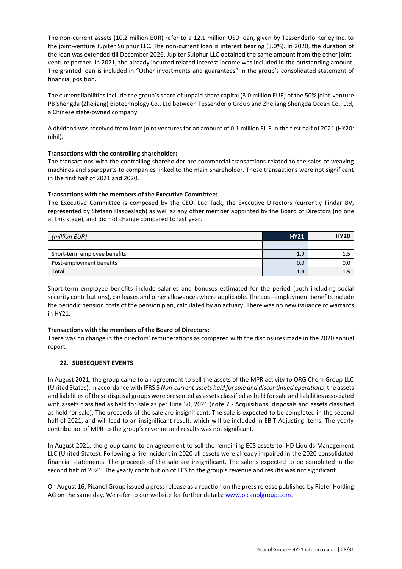The non-current assets (10.2 million EUR) refer to a 12.1 million USD loan, given by Tessenderlo Kerley Inc. to the joint-venture Jupiter Sulphur LLC. The non-current loan is interest bearing (3.0%). In 2020, the duration of the loan was extended till December 2026. Jupiter Sulphur LLC obtained the same amount from the other jointventure partner. In 2021, the already incurred related interest income was included in the outstanding amount. The granted loan is included in "Other investments and guarantees" in the group's consolidated statement of financial position.

The current liabilities include the group's share of unpaid share capital (3.0 million EUR) of the 50% joint-venture PB Shengda (Zhejiang) Biotechnology Co., Ltd between Tessenderlo Group and Zhejiang Shengda Ocean Co., Ltd, a Chinese state-owned company.

A dividend was received from from joint ventures for an amount of 0.1 million EUR in the first half of 2021 (HY20: nihil).

#### **Transactions with the controlling shareholder:**

The transactions with the controlling shareholder are commercial transactions related to the sales of weaving machines and spareparts to companies linked to the main shareholder. These transactions were not significant in the first half of 2021 and 2020.

#### **Transactions with the members of the Executive Committee:**

The Executive Committee is composed by the CEO, Luc Tack, the Executive Directors (currently Findar BV, represented by Stefaan Haspeslagh) as well as any other member appointed by the Board of Directors (no one at this stage), and did not change compared to last year.

| (million EUR)                | <b>HY21</b> | <b>HY20</b> |
|------------------------------|-------------|-------------|
|                              |             |             |
| Short-term employee benefits | 1.9         |             |
| Post-employment benefits     | 0.0         | 0.0         |
| <b>Total</b>                 | 1.9         |             |

Short-term employee benefits include salaries and bonuses estimated for the period (both including social security contributions), car leases and other allowances where applicable. The post-employment benefits include the periodic pension costs of the pension plan, calculated by an actuary. There was no new issuance of warrants in HY21.

#### **Transactions with the members of the Board of Directors:**

There was no change in the directors' remunerations as compared with the disclosures made in the 2020 annual report.

#### <span id="page-27-0"></span>**22. SUBSEQUENT EVENTS**

In August 2021, the group came to an agreement to sell the assets of the MPR activity to ORG Chem Group LLC (United States). In accordance with IFRS 5 *Non-current assets held for sale and discontinued operations*, the assets and liabilities of these disposal groups were presented as assets classified as held for sale and liabilities associated with assets classified as held for sale as per June 30, 2021 (note 7 - Acquisitions, disposals and assets classified as held for sale). The proceeds of the sale are insignificant. The sale is expected to be completed in the second half of 2021, and will lead to an insignificant result, which will be included in EBIT Adjusting items. The yearly contribution of MPR to the group's revenue and results was not significant.

In August 2021, the group came to an agreement to sell the remaining ECS assets to IHD Liquids Management LLC (United States). Following a fire incident in 2020 all assets were already impaired in the 2020 consolidated financial statements. The proceeds of the sale are insignificant. The sale is expected to be completed in the second half of 2021. The yearly contribution of ECS to the group's revenue and results was not significant.

On August 16, Picanol Group issued a press release as a reaction on the press release published by Rieter Holding AG on the same day. We refer to our website for further details: [www.picanolgroup.com.](http://www.picanolgroup.com/)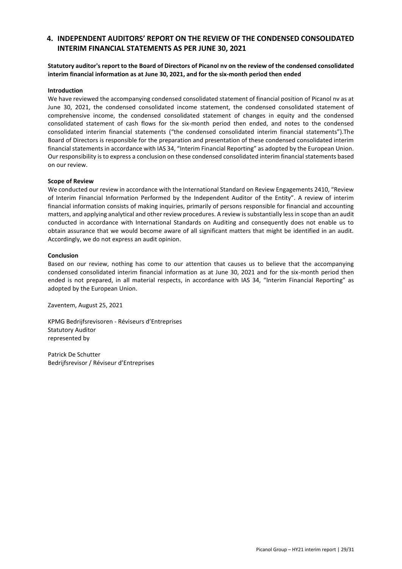# **4. INDEPENDENT AUDITORS' REPORT ON THE REVIEW OF THE CONDENSED CONSOLIDATED INTERIM FINANCIAL STATEMENTS AS PER JUNE 30, 2021**

## **Statutory auditor's report to the Board of Directors of Picanol nv on the review of the condensed consolidated interim financial information as at June 30, 2021, and for the six-month period then ended**

#### **Introduction**

We have reviewed the accompanying condensed consolidated statement of financial position of Picanol nv as at June 30, 2021, the condensed consolidated income statement, the condensed consolidated statement of comprehensive income, the condensed consolidated statement of changes in equity and the condensed consolidated statement of cash flows for the six-month period then ended, and notes to the condensed consolidated interim financial statements ("the condensed consolidated interim financial statements").The Board of Directors is responsible for the preparation and presentation of these condensed consolidated interim financial statements in accordance with IAS 34, "Interim Financial Reporting" as adopted by the European Union. Our responsibility is to express a conclusion on these condensed consolidated interim financial statements based on our review.

#### **Scope of Review**

We conducted our review in accordance with the International Standard on Review Engagements 2410, "Review of Interim Financial Information Performed by the Independent Auditor of the Entity". A review of interim financial information consists of making inquiries, primarily of persons responsible for financial and accounting matters, and applying analytical and other review procedures. A review is substantially less in scope than an audit conducted in accordance with International Standards on Auditing and consequently does not enable us to obtain assurance that we would become aware of all significant matters that might be identified in an audit. Accordingly, we do not express an audit opinion.

#### **Conclusion**

Based on our review, nothing has come to our attention that causes us to believe that the accompanying condensed consolidated interim financial information as at June 30, 2021 and for the six-month period then ended is not prepared, in all material respects, in accordance with IAS 34, "Interim Financial Reporting" as adopted by the European Union.

Zaventem, August 25, 2021

KPMG Bedrijfsrevisoren - Réviseurs d'Entreprises Statutory Auditor represented by

Patrick De Schutter Bedrijfsrevisor / Réviseur d'Entreprises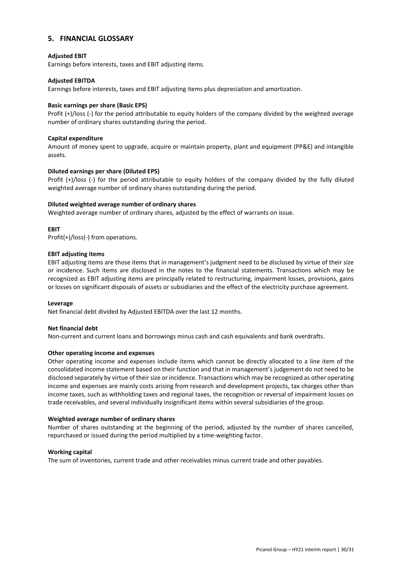# <span id="page-29-0"></span>**5. FINANCIAL GLOSSARY**

#### **Adjusted EBIT**

Earnings before interests, taxes and EBIT adjusting items.

#### **Adjusted EBITDA**

Earnings before interests, taxes and EBIT adjusting items plus depreciation and amortization.

#### **Basic earnings per share (Basic EPS)**

Profit (+)/loss (-) for the period attributable to equity holders of the company divided by the weighted average number of ordinary shares outstanding during the period.

#### **Capital expenditure**

Amount of money spent to upgrade, acquire or maintain property, plant and equipment (PP&E) and intangible assets.

#### **Diluted earnings per share (Diluted EPS)**

Profit (+)/loss (-) for the period attributable to equity holders of the company divided by the fully diluted weighted average number of ordinary shares outstanding during the period.

#### **Diluted weighted average number of ordinary shares**

Weighted average number of ordinary shares, adjusted by the effect of warrants on issue.

#### **EBIT**

Profit(+)/loss(-) from operations.

#### **EBIT adjusting items**

EBIT adjusting items are those items that in management's judgment need to be disclosed by virtue of their size or incidence. Such items are disclosed in the notes to the financial statements. Transactions which may be recognized as EBIT adjusting items are principally related to restructuring, impairment losses, provisions, gains or losses on significant disposals of assets or subsidiaries and the effect of the electricity purchase agreement.

#### **Leverage**

Net financial debt divided by Adjusted EBITDA over the last 12 months.

#### **Net financial debt**

Non-current and current loans and borrowings minus cash and cash equivalents and bank overdrafts.

#### **Other operating income and expenses**

Other operating income and expenses include items which cannot be directly allocated to a line item of the consolidated income statement based on their function and that in management's judgement do not need to be disclosed separately by virtue of their size or incidence. Transactions which may be recognized as other operating income and expenses are mainly costs arising from research and development projects, tax charges other than income taxes, such as withholding taxes and regional taxes, the recognition or reversal of impairment losses on trade receivables, and several individually insignificant items within several subsidiaries of the group.

#### **Weighted average number of ordinary shares**

Number of shares outstanding at the beginning of the period, adjusted by the number of shares cancelled, repurchased or issued during the period multiplied by a time-weighting factor.

#### **Working capital**

The sum of inventories, current trade and other receivables minus current trade and other payables.